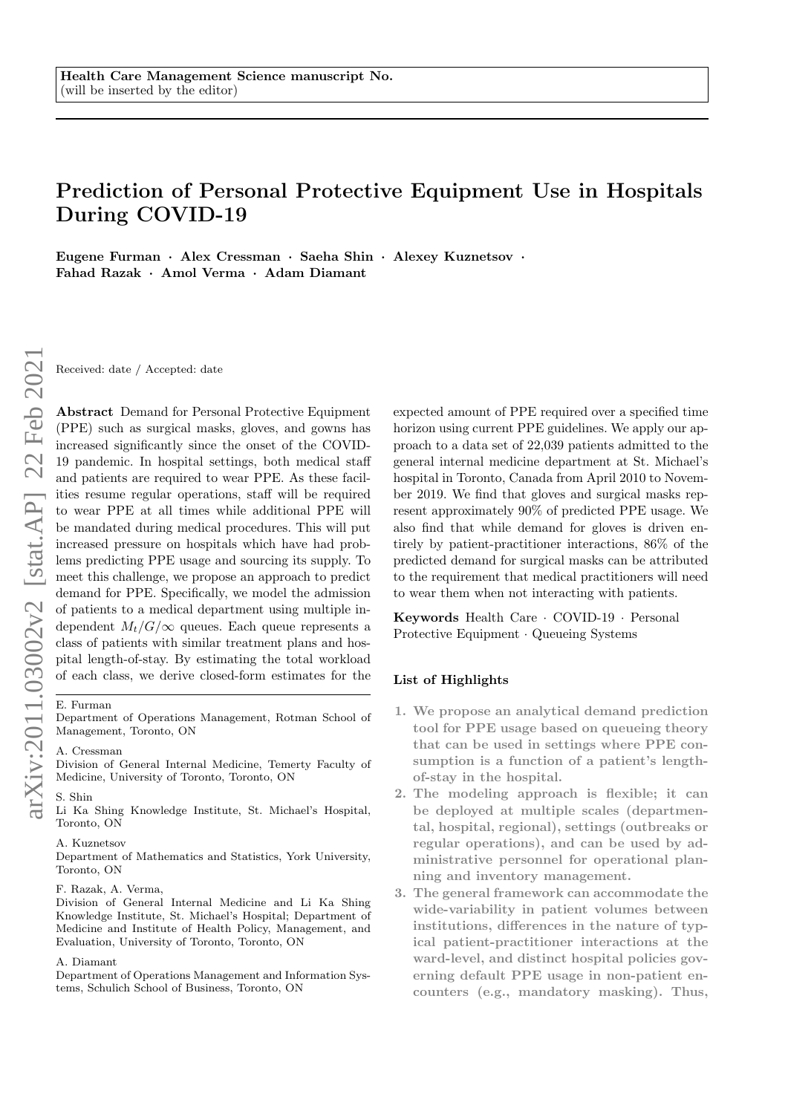# Prediction of Personal Protective Equipment Use in Hospitals During COVID-19

Eugene Furman · Alex Cressman · Saeha Shin · Alexey Kuznetsov · Fahad Razak · Amol Verma · Adam Diamant

Received: date / Accepted: date

Abstract Demand for Personal Protective Equipment (PPE) such as surgical masks, gloves, and gowns has increased significantly since the onset of the COVID-19 pandemic. In hospital settings, both medical staff and patients are required to wear PPE. As these facilities resume regular operations, staff will be required to wear PPE at all times while additional PPE will be mandated during medical procedures. This will put increased pressure on hospitals which have had problems predicting PPE usage and sourcing its supply. To meet this challenge, we propose an approach to predict demand for PPE. Specifically, we model the admission of patients to a medical department using multiple independent  $M_t/G/\infty$  queues. Each queue represents a class of patients with similar treatment plans and hospital length-of-stay. By estimating the total workload of each class, we derive closed-form estimates for the

#### E. Furman

Department of Operations Management, Rotman School of Management, Toronto, ON

#### A. Cressman

Division of General Internal Medicine, Temerty Faculty of Medicine, University of Toronto, Toronto, ON

# S. Shin

Li Ka Shing Knowledge Institute, St. Michael's Hospital, Toronto, ON

## A. Kuznetsov

Department of Mathematics and Statistics, York University, Toronto, ON

## F. Razak, A. Verma,

Division of General Internal Medicine and Li Ka Shing Knowledge Institute, St. Michael's Hospital; Department of Medicine and Institute of Health Policy, Management, and Evaluation, University of Toronto, Toronto, ON

#### A. Diamant

Department of Operations Management and Information Systems, Schulich School of Business, Toronto, ON

expected amount of PPE required over a specified time horizon using current PPE guidelines. We apply our approach to a data set of 22,039 patients admitted to the general internal medicine department at St. Michael's hospital in Toronto, Canada from April 2010 to November 2019. We find that gloves and surgical masks represent approximately 90% of predicted PPE usage. We also find that while demand for gloves is driven entirely by patient-practitioner interactions, 86% of the predicted demand for surgical masks can be attributed to the requirement that medical practitioners will need to wear them when not interacting with patients.

Keywords Health Care · COVID-19 · Personal Protective Equipment · Queueing Systems

## List of Highlights

- 1. We propose an analytical demand prediction tool for PPE usage based on queueing theory that can be used in settings where PPE consumption is a function of a patient's lengthof-stay in the hospital.
- 2. The modeling approach is flexible; it can be deployed at multiple scales (departmental, hospital, regional), settings (outbreaks or regular operations), and can be used by administrative personnel for operational planning and inventory management.
- 3. The general framework can accommodate the wide-variability in patient volumes between institutions, differences in the nature of typical patient-practitioner interactions at the ward-level, and distinct hospital policies governing default PPE usage in non-patient encounters (e.g., mandatory masking). Thus,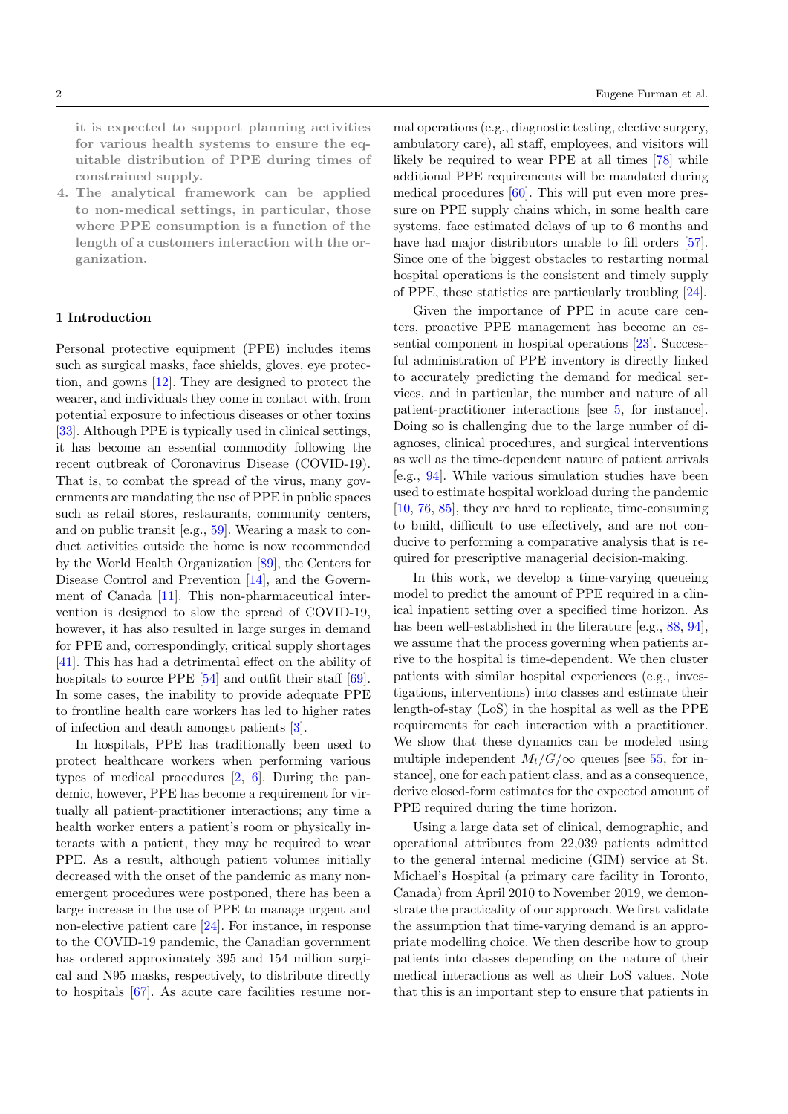it is expected to support planning activities for various health systems to ensure the equitable distribution of PPE during times of constrained supply.

4. The analytical framework can be applied to non-medical settings, in particular, those where PPE consumption is a function of the length of a customers interaction with the organization.

## 1 Introduction

Personal protective equipment (PPE) includes items such as surgical masks, face shields, gloves, eye protection, and gowns [\[12\]](#page-10-0). They are designed to protect the wearer, and individuals they come in contact with, from potential exposure to infectious diseases or other toxins [\[33\]](#page-11-0). Although PPE is typically used in clinical settings, it has become an essential commodity following the recent outbreak of Coronavirus Disease (COVID-19). That is, to combat the spread of the virus, many governments are mandating the use of PPE in public spaces such as retail stores, restaurants, community centers, and on public transit [e.g., [59\]](#page-11-1). Wearing a mask to conduct activities outside the home is now recommended by the World Health Organization [\[89\]](#page-12-0), the Centers for Disease Control and Prevention [\[14\]](#page-10-1), and the Government of Canada [\[11\]](#page-10-2). This non-pharmaceutical intervention is designed to slow the spread of COVID-19, however, it has also resulted in large surges in demand for PPE and, correspondingly, critical supply shortages [\[41\]](#page-11-2). This has had a detrimental effect on the ability of hospitals to source PPE [\[54\]](#page-11-3) and outfit their staff [\[69\]](#page-12-1). In some cases, the inability to provide adequate PPE to frontline health care workers has led to higher rates of infection and death amongst patients [\[3\]](#page-10-3).

In hospitals, PPE has traditionally been used to protect healthcare workers when performing various types of medical procedures [\[2,](#page-10-4) [6\]](#page-10-5). During the pandemic, however, PPE has become a requirement for virtually all patient-practitioner interactions; any time a health worker enters a patient's room or physically interacts with a patient, they may be required to wear PPE. As a result, although patient volumes initially decreased with the onset of the pandemic as many nonemergent procedures were postponed, there has been a large increase in the use of PPE to manage urgent and non-elective patient care [\[24\]](#page-10-6). For instance, in response to the COVID-19 pandemic, the Canadian government has ordered approximately 395 and 154 million surgical and N95 masks, respectively, to distribute directly to hospitals [\[67\]](#page-12-2). As acute care facilities resume normal operations (e.g., diagnostic testing, elective surgery, ambulatory care), all staff, employees, and visitors will likely be required to wear PPE at all times [\[78\]](#page-12-3) while additional PPE requirements will be mandated during medical procedures  $[60]$ . This will put even more pressure on PPE supply chains which, in some health care systems, face estimated delays of up to 6 months and have had major distributors unable to fill orders [\[57\]](#page-11-5). Since one of the biggest obstacles to restarting normal hospital operations is the consistent and timely supply of PPE, these statistics are particularly troubling [\[24\]](#page-10-6).

Given the importance of PPE in acute care centers, proactive PPE management has become an essential component in hospital operations [\[23\]](#page-10-7). Successful administration of PPE inventory is directly linked to accurately predicting the demand for medical services, and in particular, the number and nature of all patient-practitioner interactions [see [5,](#page-10-8) for instance]. Doing so is challenging due to the large number of diagnoses, clinical procedures, and surgical interventions as well as the time-dependent nature of patient arrivals [e.g., [94\]](#page-12-4). While various simulation studies have been used to estimate hospital workload during the pandemic [\[10,](#page-10-9) [76,](#page-12-5) [85\]](#page-12-6), they are hard to replicate, time-consuming to build, difficult to use effectively, and are not conducive to performing a comparative analysis that is required for prescriptive managerial decision-making.

In this work, we develop a time-varying queueing model to predict the amount of PPE required in a clinical inpatient setting over a specified time horizon. As has been well-established in the literature [e.g., [88,](#page-12-7) [94\]](#page-12-4), we assume that the process governing when patients arrive to the hospital is time-dependent. We then cluster patients with similar hospital experiences (e.g., investigations, interventions) into classes and estimate their length-of-stay (LoS) in the hospital as well as the PPE requirements for each interaction with a practitioner. We show that these dynamics can be modeled using multiple independent  $M_t/G/\infty$  queues [see [55,](#page-11-6) for instance], one for each patient class, and as a consequence, derive closed-form estimates for the expected amount of PPE required during the time horizon.

Using a large data set of clinical, demographic, and operational attributes from 22,039 patients admitted to the general internal medicine (GIM) service at St. Michael's Hospital (a primary care facility in Toronto, Canada) from April 2010 to November 2019, we demonstrate the practicality of our approach. We first validate the assumption that time-varying demand is an appropriate modelling choice. We then describe how to group patients into classes depending on the nature of their medical interactions as well as their LoS values. Note that this is an important step to ensure that patients in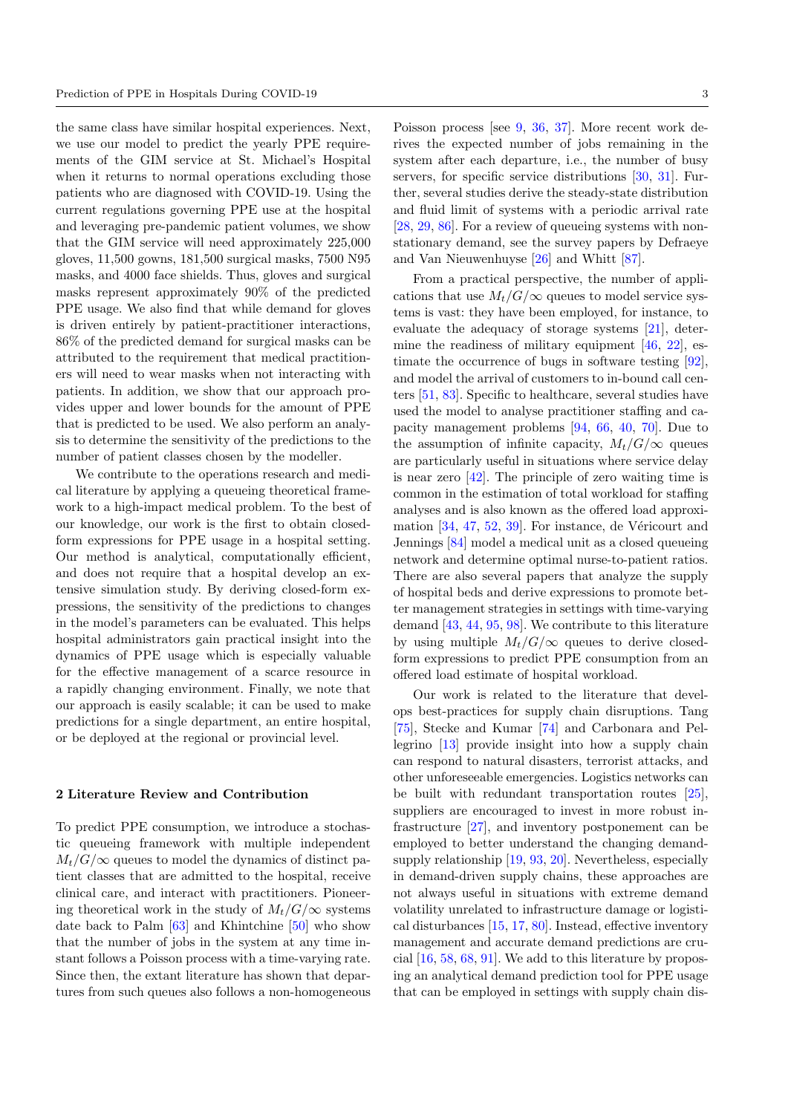the same class have similar hospital experiences. Next, we use our model to predict the yearly PPE requirements of the GIM service at St. Michael's Hospital when it returns to normal operations excluding those patients who are diagnosed with COVID-19. Using the current regulations governing PPE use at the hospital and leveraging pre-pandemic patient volumes, we show that the GIM service will need approximately 225,000 gloves, 11,500 gowns, 181,500 surgical masks, 7500 N95 masks, and 4000 face shields. Thus, gloves and surgical masks represent approximately 90% of the predicted PPE usage. We also find that while demand for gloves is driven entirely by patient-practitioner interactions, 86% of the predicted demand for surgical masks can be attributed to the requirement that medical practitioners will need to wear masks when not interacting with patients. In addition, we show that our approach provides upper and lower bounds for the amount of PPE that is predicted to be used. We also perform an analysis to determine the sensitivity of the predictions to the number of patient classes chosen by the modeller.

We contribute to the operations research and medical literature by applying a queueing theoretical framework to a high-impact medical problem. To the best of our knowledge, our work is the first to obtain closedform expressions for PPE usage in a hospital setting. Our method is analytical, computationally efficient, and does not require that a hospital develop an extensive simulation study. By deriving closed-form expressions, the sensitivity of the predictions to changes in the model's parameters can be evaluated. This helps hospital administrators gain practical insight into the dynamics of PPE usage which is especially valuable for the effective management of a scarce resource in a rapidly changing environment. Finally, we note that our approach is easily scalable; it can be used to make predictions for a single department, an entire hospital, or be deployed at the regional or provincial level.

## 2 Literature Review and Contribution

To predict PPE consumption, we introduce a stochastic queueing framework with multiple independent  $M_t/G/\infty$  queues to model the dynamics of distinct patient classes that are admitted to the hospital, receive clinical care, and interact with practitioners. Pioneering theoretical work in the study of  $M_t/G/\infty$  systems date back to Palm [\[63\]](#page-12-8) and Khintchine [\[50\]](#page-11-7) who show that the number of jobs in the system at any time instant follows a Poisson process with a time-varying rate. Since then, the extant literature has shown that departures from such queues also follows a non-homogeneous Poisson process [see [9,](#page-10-10) [36,](#page-11-8) [37\]](#page-11-9). More recent work derives the expected number of jobs remaining in the system after each departure, i.e., the number of busy servers, for specific service distributions [\[30,](#page-11-10) [31\]](#page-11-11). Further, several studies derive the steady-state distribution and fluid limit of systems with a periodic arrival rate [\[28,](#page-11-12) [29,](#page-11-13) [86\]](#page-12-9). For a review of queueing systems with nonstationary demand, see the survey papers by Defraeye and Van Nieuwenhuyse [\[26\]](#page-10-11) and Whitt [\[87\]](#page-12-10).

From a practical perspective, the number of applications that use  $M_t/G/\infty$  queues to model service systems is vast: they have been employed, for instance, to evaluate the adequacy of storage systems [\[21\]](#page-10-12), determine the readiness of military equipment [\[46,](#page-11-14) [22\]](#page-10-13), estimate the occurrence of bugs in software testing [\[92\]](#page-12-11), and model the arrival of customers to in-bound call centers [\[51,](#page-11-15) [83\]](#page-12-12). Specific to healthcare, several studies have used the model to analyse practitioner staffing and capacity management problems [\[94,](#page-12-4) [66,](#page-12-13) [40,](#page-11-16) [70\]](#page-12-14). Due to the assumption of infinite capacity,  $M_t/G/\infty$  queues are particularly useful in situations where service delay is near zero [\[42\]](#page-11-17). The principle of zero waiting time is common in the estimation of total workload for staffing analyses and is also known as the offered load approximation  $[34, 47, 52, 39]$  $[34, 47, 52, 39]$  $[34, 47, 52, 39]$  $[34, 47, 52, 39]$  $[34, 47, 52, 39]$  $[34, 47, 52, 39]$  $[34, 47, 52, 39]$ . For instance, de Véricourt and Jennings [\[84\]](#page-12-15) model a medical unit as a closed queueing network and determine optimal nurse-to-patient ratios. There are also several papers that analyze the supply of hospital beds and derive expressions to promote better management strategies in settings with time-varying demand [\[43,](#page-11-22) [44,](#page-11-23) [95,](#page-13-0) [98\]](#page-13-1). We contribute to this literature by using multiple  $M_t/G/\infty$  queues to derive closedform expressions to predict PPE consumption from an offered load estimate of hospital workload.

Our work is related to the literature that develops best-practices for supply chain disruptions. Tang [\[75\]](#page-12-16), Stecke and Kumar [\[74\]](#page-12-17) and Carbonara and Pellegrino [\[13\]](#page-10-14) provide insight into how a supply chain can respond to natural disasters, terrorist attacks, and other unforeseeable emergencies. Logistics networks can be built with redundant transportation routes [\[25\]](#page-10-15), suppliers are encouraged to invest in more robust infrastructure [\[27\]](#page-10-16), and inventory postponement can be employed to better understand the changing demandsupply relationship [\[19,](#page-10-17) [93,](#page-12-18) [20\]](#page-10-18). Nevertheless, especially in demand-driven supply chains, these approaches are not always useful in situations with extreme demand volatility unrelated to infrastructure damage or logistical disturbances [\[15,](#page-10-19) [17,](#page-10-20) [80\]](#page-12-19). Instead, effective inventory management and accurate demand predictions are crucial [\[16,](#page-10-21) [58,](#page-11-24) [68,](#page-12-20) [91\]](#page-12-21). We add to this literature by proposing an analytical demand prediction tool for PPE usage that can be employed in settings with supply chain dis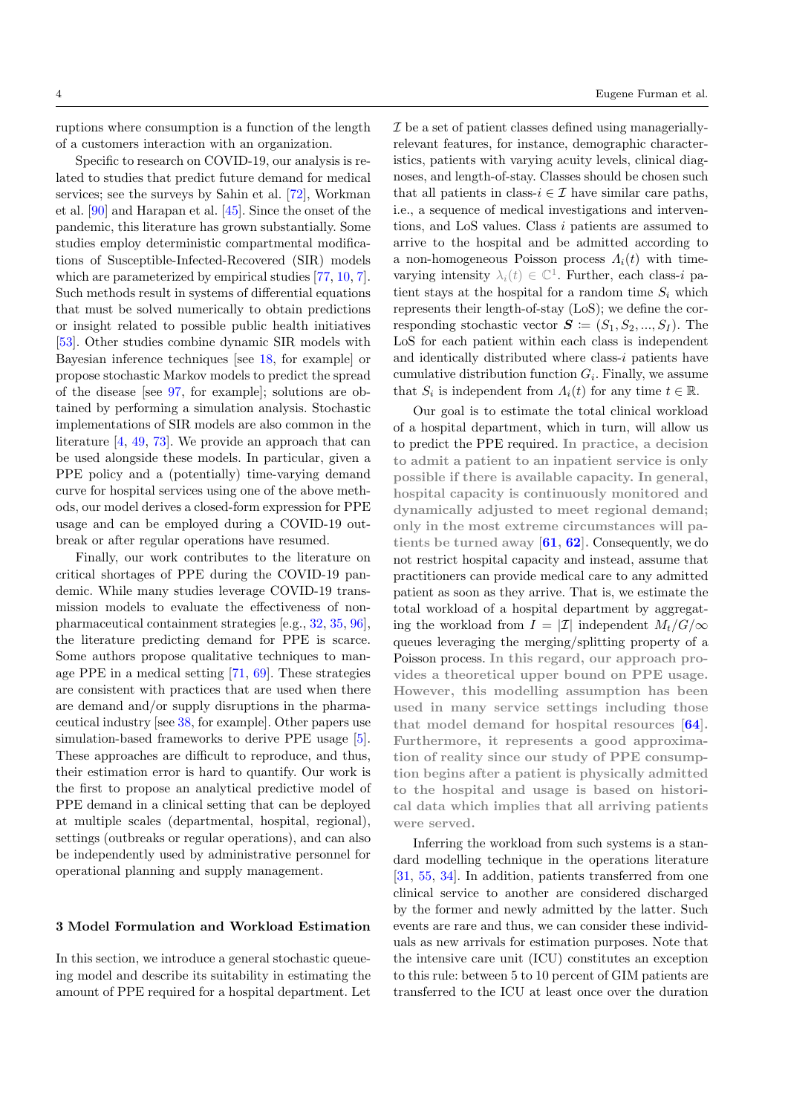ruptions where consumption is a function of the length of a customers interaction with an organization.

Specific to research on COVID-19, our analysis is related to studies that predict future demand for medical services; see the surveys by Sahin et al. [\[72\]](#page-12-22), Workman et al. [\[90\]](#page-12-23) and Harapan et al. [\[45\]](#page-11-25). Since the onset of the pandemic, this literature has grown substantially. Some studies employ deterministic compartmental modifications of Susceptible-Infected-Recovered (SIR) models which are parameterized by empirical studies [\[77,](#page-12-24) [10,](#page-10-9) [7\]](#page-10-22). Such methods result in systems of differential equations that must be solved numerically to obtain predictions or insight related to possible public health initiatives [\[53\]](#page-11-26). Other studies combine dynamic SIR models with Bayesian inference techniques [see [18,](#page-10-23) for example] or propose stochastic Markov models to predict the spread of the disease [see [97,](#page-13-2) for example]; solutions are obtained by performing a simulation analysis. Stochastic implementations of SIR models are also common in the literature [\[4,](#page-10-24) [49,](#page-11-27) [73\]](#page-12-25). We provide an approach that can be used alongside these models. In particular, given a PPE policy and a (potentially) time-varying demand curve for hospital services using one of the above methods, our model derives a closed-form expression for PPE usage and can be employed during a COVID-19 outbreak or after regular operations have resumed.

Finally, our work contributes to the literature on critical shortages of PPE during the COVID-19 pandemic. While many studies leverage COVID-19 transmission models to evaluate the effectiveness of nonpharmaceutical containment strategies [e.g., [32,](#page-11-28) [35,](#page-11-29) [96\]](#page-13-3), the literature predicting demand for PPE is scarce. Some authors propose qualitative techniques to manage PPE in a medical setting [\[71,](#page-12-26) [69\]](#page-12-1). These strategies are consistent with practices that are used when there are demand and/or supply disruptions in the pharmaceutical industry [see [38,](#page-11-30) for example]. Other papers use simulation-based frameworks to derive PPE usage [\[5\]](#page-10-8). These approaches are difficult to reproduce, and thus, their estimation error is hard to quantify. Our work is the first to propose an analytical predictive model of PPE demand in a clinical setting that can be deployed at multiple scales (departmental, hospital, regional), settings (outbreaks or regular operations), and can also be independently used by administrative personnel for operational planning and supply management.

# <span id="page-3-0"></span>3 Model Formulation and Workload Estimation

In this section, we introduce a general stochastic queueing model and describe its suitability in estimating the amount of PPE required for a hospital department. Let  $\mathcal I$  be a set of patient classes defined using manageriallyrelevant features, for instance, demographic characteristics, patients with varying acuity levels, clinical diagnoses, and length-of-stay. Classes should be chosen such that all patients in class- $i \in \mathcal{I}$  have similar care paths, i.e., a sequence of medical investigations and interventions, and LoS values. Class i patients are assumed to arrive to the hospital and be admitted according to a non-homogeneous Poisson process  $\Lambda_i(t)$  with timevarying intensity  $\lambda_i(t) \in \mathbb{C}^1$ . Further, each class-*i* patient stays at the hospital for a random time  $S_i$  which represents their length-of-stay (LoS); we define the corresponding stochastic vector  $S \coloneqq (S_1, S_2, ..., S_I)$ . The LoS for each patient within each class is independent and identically distributed where class- $i$  patients have cumulative distribution function  $G_i$ . Finally, we assume that  $S_i$  is independent from  $\Lambda_i(t)$  for any time  $t \in \mathbb{R}$ .

Our goal is to estimate the total clinical workload of a hospital department, which in turn, will allow us to predict the PPE required. In practice, a decision to admit a patient to an inpatient service is only possible if there is available capacity. In general, hospital capacity is continuously monitored and dynamically adjusted to meet regional demand; only in the most extreme circumstances will patients be turned away  $[61, 62]$  $[61, 62]$  $[61, 62]$ . Consequently, we do not restrict hospital capacity and instead, assume that practitioners can provide medical care to any admitted patient as soon as they arrive. That is, we estimate the total workload of a hospital department by aggregating the workload from  $I = |\mathcal{I}|$  independent  $M_t/G/\infty$ queues leveraging the merging/splitting property of a Poisson process. In this regard, our approach provides a theoretical upper bound on PPE usage. However, this modelling assumption has been used in many service settings including those that model demand for hospital resources  $[64]$ . Furthermore, it represents a good approximation of reality since our study of PPE consumption begins after a patient is physically admitted to the hospital and usage is based on historical data which implies that all arriving patients were served.

Inferring the workload from such systems is a standard modelling technique in the operations literature [\[31,](#page-11-11) [55,](#page-11-6) [34\]](#page-11-18). In addition, patients transferred from one clinical service to another are considered discharged by the former and newly admitted by the latter. Such events are rare and thus, we can consider these individuals as new arrivals for estimation purposes. Note that the intensive care unit (ICU) constitutes an exception to this rule: between 5 to 10 percent of GIM patients are transferred to the ICU at least once over the duration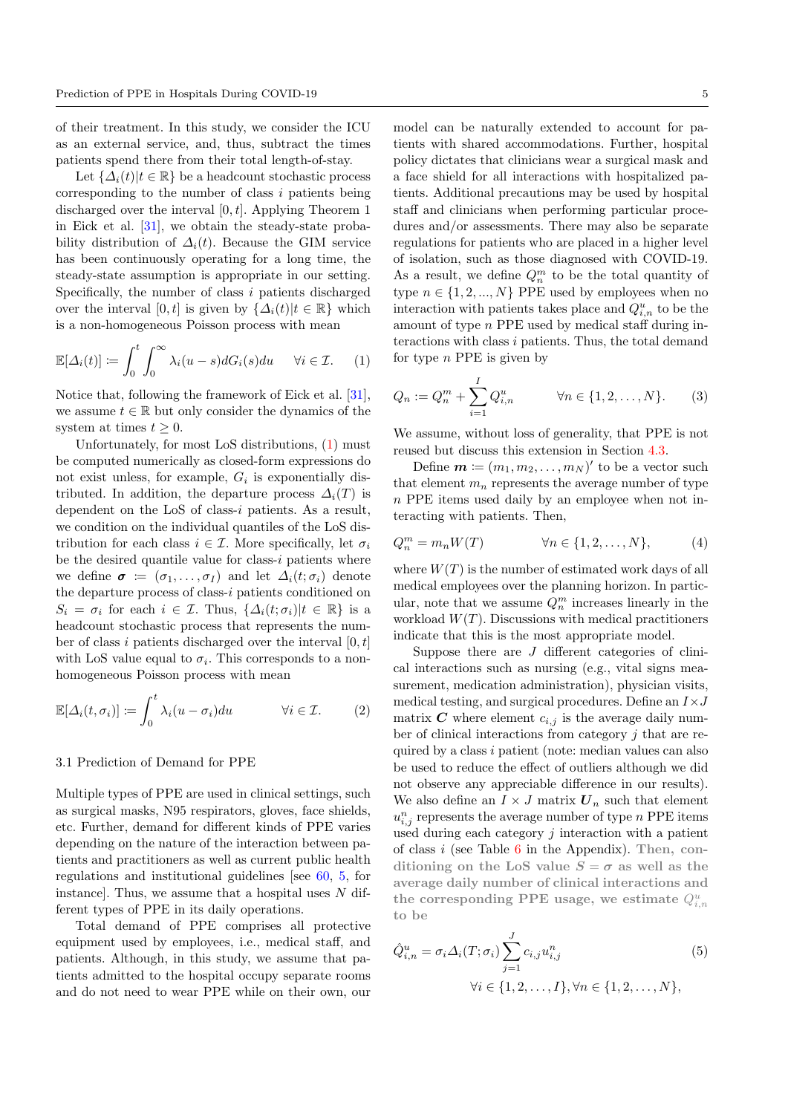of their treatment. In this study, we consider the ICU as an external service, and, thus, subtract the times patients spend there from their total length-of-stay.

Let  $\{\Delta_i(t)|t\in\mathbb{R}\}\$  be a headcount stochastic process corresponding to the number of class  $i$  patients being discharged over the interval  $[0, t]$ . Applying Theorem 1 in Eick et al. [\[31\]](#page-11-11), we obtain the steady-state probability distribution of  $\Delta_i(t)$ . Because the GIM service has been continuously operating for a long time, the steady-state assumption is appropriate in our setting. Specifically, the number of class i patients discharged over the interval [0, t] is given by  $\{\Delta_i(t)|t \in \mathbb{R}\}\$  which is a non-homogeneous Poisson process with mean

$$
\mathbb{E}[\Delta_i(t)] := \int_0^t \int_0^\infty \lambda_i(u-s) dG_i(s) du \quad \forall i \in \mathcal{I}.
$$
 (1)

Notice that, following the framework of Eick et al. [\[31\]](#page-11-11), we assume  $t \in \mathbb{R}$  but only consider the dynamics of the system at times  $t \geq 0$ .

Unfortunately, for most LoS distributions, [\(1\)](#page-4-0) must be computed numerically as closed-form expressions do not exist unless, for example,  $G_i$  is exponentially distributed. In addition, the departure process  $\Delta_i(T)$  is dependent on the LoS of class-i patients. As a result, we condition on the individual quantiles of the LoS distribution for each class  $i \in \mathcal{I}$ . More specifically, let  $\sigma_i$ be the desired quantile value for class- $i$  patients where we define  $\sigma := (\sigma_1, \ldots, \sigma_I)$  and let  $\Delta_i(t; \sigma_i)$  denote the departure process of class-i patients conditioned on  $S_i = \sigma_i$  for each  $i \in \mathcal{I}$ . Thus,  $\{\Delta_i(t; \sigma_i)|t \in \mathbb{R}\}\$ is a headcount stochastic process that represents the number of class i patients discharged over the interval  $[0, t]$ with LoS value equal to  $\sigma_i$ . This corresponds to a nonhomogeneous Poisson process with mean

$$
\mathbb{E}[\Delta_i(t,\sigma_i)] \coloneqq \int_0^t \lambda_i(u-\sigma_i) du \qquad \forall i \in \mathcal{I}.
$$
 (2)

## 3.1 Prediction of Demand for PPE

Multiple types of PPE are used in clinical settings, such as surgical masks, N95 respirators, gloves, face shields, etc. Further, demand for different kinds of PPE varies depending on the nature of the interaction between patients and practitioners as well as current public health regulations and institutional guidelines [see [60,](#page-11-4) [5,](#page-10-8) for instance]. Thus, we assume that a hospital uses  $N$  different types of PPE in its daily operations.

Total demand of PPE comprises all protective equipment used by employees, i.e., medical staff, and patients. Although, in this study, we assume that patients admitted to the hospital occupy separate rooms and do not need to wear PPE while on their own, our

model can be naturally extended to account for patients with shared accommodations. Further, hospital policy dictates that clinicians wear a surgical mask and a face shield for all interactions with hospitalized patients. Additional precautions may be used by hospital staff and clinicians when performing particular procedures and/or assessments. There may also be separate regulations for patients who are placed in a higher level of isolation, such as those diagnosed with COVID-19. As a result, we define  $Q_n^m$  to be the total quantity of type  $n \in \{1, 2, ..., N\}$  PPE used by employees when no interaction with patients takes place and  $Q_{i,n}^u$  to be the amount of type n PPE used by medical staff during interactions with class i patients. Thus, the total demand for type  $n$  PPE is given by

<span id="page-4-2"></span><span id="page-4-0"></span>
$$
Q_n := Q_n^m + \sum_{i=1}^I Q_{i,n}^u \qquad \forall n \in \{1, 2, ..., N\}.
$$
 (3)

We assume, without loss of generality, that PPE is not reused but discuss this extension in Section [4.3.](#page-8-0)

Define  $\mathbf{m} \coloneqq (m_1, m_2, \dots, m_N)'$  to be a vector such that element  $m_n$  represents the average number of type n PPE items used daily by an employee when not interacting with patients. Then,

$$
Q_n^m = m_n W(T) \qquad \forall n \in \{1, 2, \dots, N\}, \tag{4}
$$

where  $W(T)$  is the number of estimated work days of all medical employees over the planning horizon. In particular, note that we assume  $Q_n^m$  increases linearly in the workload  $W(T)$ . Discussions with medical practitioners indicate that this is the most appropriate model.

<span id="page-4-1"></span>Suppose there are  $J$  different categories of clinical interactions such as nursing (e.g., vital signs measurement, medication administration), physician visits, medical testing, and surgical procedures. Define an  $I \times J$ matrix  $C$  where element  $c_{i,j}$  is the average daily number of clinical interactions from category j that are required by a class i patient (note: median values can also be used to reduce the effect of outliers although we did not observe any appreciable difference in our results). We also define an  $I \times J$  matrix  $\mathbf{U}_n$  such that element  $u_{i,j}^n$  represents the average number of type n PPE items used during each category  $j$  interaction with a patient of class  $i$  (see Table [6](#page-14-0) in the Appendix). Then, conditioning on the LoS value  $S = \sigma$  as well as the average daily number of clinical interactions and the corresponding PPE usage, we estimate  $Q_{i,n}^u$ to be

$$
\hat{Q}_{i,n}^{u} = \sigma_i \Delta_i(T; \sigma_i) \sum_{j=1}^{J} c_{i,j} u_{i,j}^{n}
$$
\n
$$
\forall i \in \{1, 2, ..., I\}, \forall n \in \{1, 2, ..., N\},
$$
\n(5)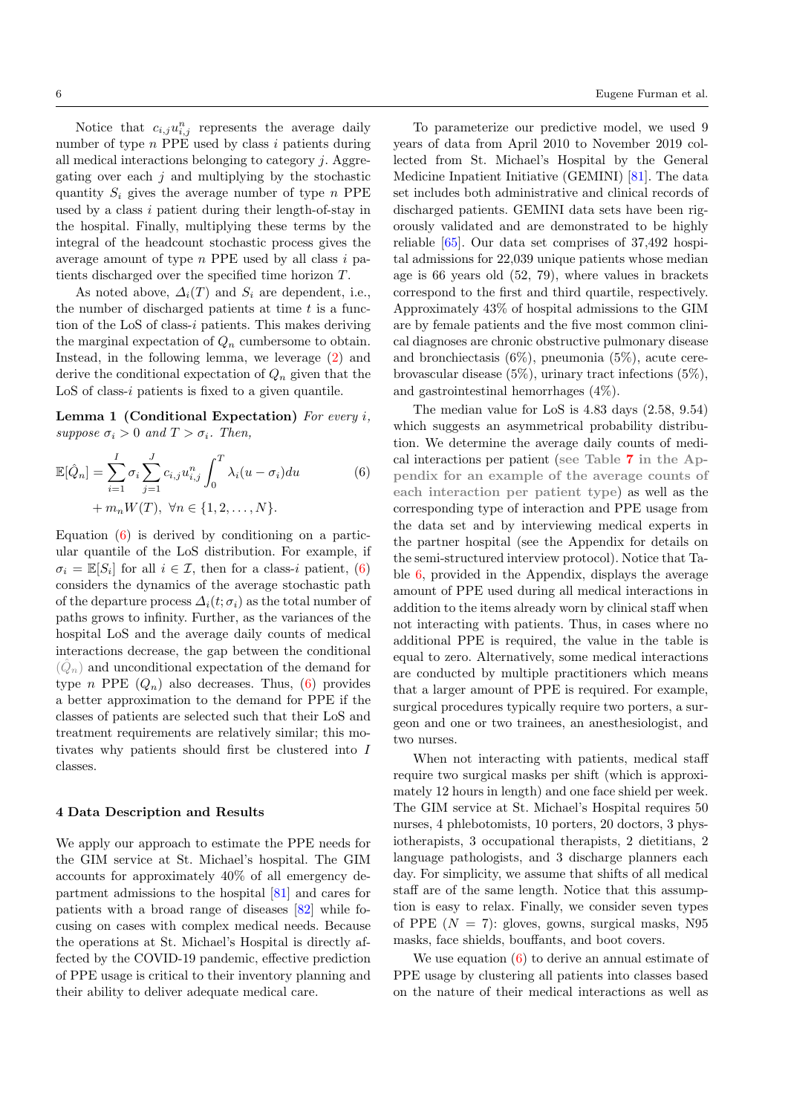Notice that  $c_{i,j}u_{i,j}^n$  represents the average daily number of type  $n$  PPE used by class i patients during all medical interactions belonging to category j. Aggregating over each  $j$  and multiplying by the stochastic quantity  $S_i$  gives the average number of type n PPE used by a class  $i$  patient during their length-of-stay in the hospital. Finally, multiplying these terms by the integral of the headcount stochastic process gives the average amount of type  $n$  PPE used by all class  $i$  patients discharged over the specified time horizon T.

As noted above,  $\Delta_i(T)$  and  $S_i$  are dependent, i.e., the number of discharged patients at time  $t$  is a function of the LoS of class-i patients. This makes deriving the marginal expectation of  $Q_n$  cumbersome to obtain. Instead, in the following lemma, we leverage [\(2\)](#page-4-1) and derive the conditional expectation of  $Q_n$  given that the  $LoS$  of class-i patients is fixed to a given quantile.

Lemma 1 (Conditional Expectation) For every i. suppose  $\sigma_i > 0$  and  $T > \sigma_i$ . Then,

$$
\mathbb{E}[\hat{Q}_n] = \sum_{i=1}^{I} \sigma_i \sum_{j=1}^{J} c_{i,j} u_{i,j}^n \int_0^T \lambda_i (u - \sigma_i) du
$$
  
+  $m_n W(T), \ \forall n \in \{1, 2, ..., N\}.$  (6)

Equation  $(6)$  is derived by conditioning on a particular quantile of the LoS distribution. For example, if  $\sigma_i = \mathbb{E}[S_i]$  for all  $i \in \mathcal{I}$ , then for a class-i patient, [\(6\)](#page-5-0) considers the dynamics of the average stochastic path of the departure process  $\Delta_i(t;\sigma_i)$  as the total number of paths grows to infinity. Further, as the variances of the hospital LoS and the average daily counts of medical interactions decrease, the gap between the conditional  $(\hat{Q}_n)$  and unconditional expectation of the demand for type *n* PPE  $(Q_n)$  also decreases. Thus, [\(6\)](#page-5-0) provides a better approximation to the demand for PPE if the classes of patients are selected such that their LoS and treatment requirements are relatively similar; this motivates why patients should first be clustered into I classes.

#### 4 Data Description and Results

We apply our approach to estimate the PPE needs for the GIM service at St. Michael's hospital. The GIM accounts for approximately 40% of all emergency department admissions to the hospital [\[81\]](#page-12-28) and cares for patients with a broad range of diseases [\[82\]](#page-12-29) while focusing on cases with complex medical needs. Because the operations at St. Michael's Hospital is directly affected by the COVID-19 pandemic, effective prediction of PPE usage is critical to their inventory planning and their ability to deliver adequate medical care.

To parameterize our predictive model, we used 9 years of data from April 2010 to November 2019 collected from St. Michael's Hospital by the General Medicine Inpatient Initiative (GEMINI) [\[81\]](#page-12-28). The data set includes both administrative and clinical records of discharged patients. GEMINI data sets have been rigorously validated and are demonstrated to be highly reliable [\[65\]](#page-12-30). Our data set comprises of 37,492 hospital admissions for 22,039 unique patients whose median age is 66 years old (52, 79), where values in brackets correspond to the first and third quartile, respectively. Approximately 43% of hospital admissions to the GIM are by female patients and the five most common clinical diagnoses are chronic obstructive pulmonary disease and bronchiectasis (6%), pneumonia (5%), acute cerebrovascular disease (5%), urinary tract infections (5%), and gastrointestinal hemorrhages (4%).

<span id="page-5-1"></span><span id="page-5-0"></span>The median value for LoS is 4.83 days (2.58, 9.54) which suggests an asymmetrical probability distribution. We determine the average daily counts of medical interactions per patient (see Table [7](#page-14-1) in the Appendix for an example of the average counts of each interaction per patient type) as well as the corresponding type of interaction and PPE usage from the data set and by interviewing medical experts in the partner hospital (see the Appendix for details on the semi-structured interview protocol). Notice that Table [6,](#page-14-0) provided in the Appendix, displays the average amount of PPE used during all medical interactions in addition to the items already worn by clinical staff when not interacting with patients. Thus, in cases where no additional PPE is required, the value in the table is equal to zero. Alternatively, some medical interactions are conducted by multiple practitioners which means that a larger amount of PPE is required. For example, surgical procedures typically require two porters, a surgeon and one or two trainees, an anesthesiologist, and two nurses.

When not interacting with patients, medical staff require two surgical masks per shift (which is approximately 12 hours in length) and one face shield per week. The GIM service at St. Michael's Hospital requires 50 nurses, 4 phlebotomists, 10 porters, 20 doctors, 3 physiotherapists, 3 occupational therapists, 2 dietitians, 2 language pathologists, and 3 discharge planners each day. For simplicity, we assume that shifts of all medical staff are of the same length. Notice that this assumption is easy to relax. Finally, we consider seven types of PPE  $(N = 7)$ : gloves, gowns, surgical masks, N95 masks, face shields, bouffants, and boot covers.

We use equation  $(6)$  to derive an annual estimate of PPE usage by clustering all patients into classes based on the nature of their medical interactions as well as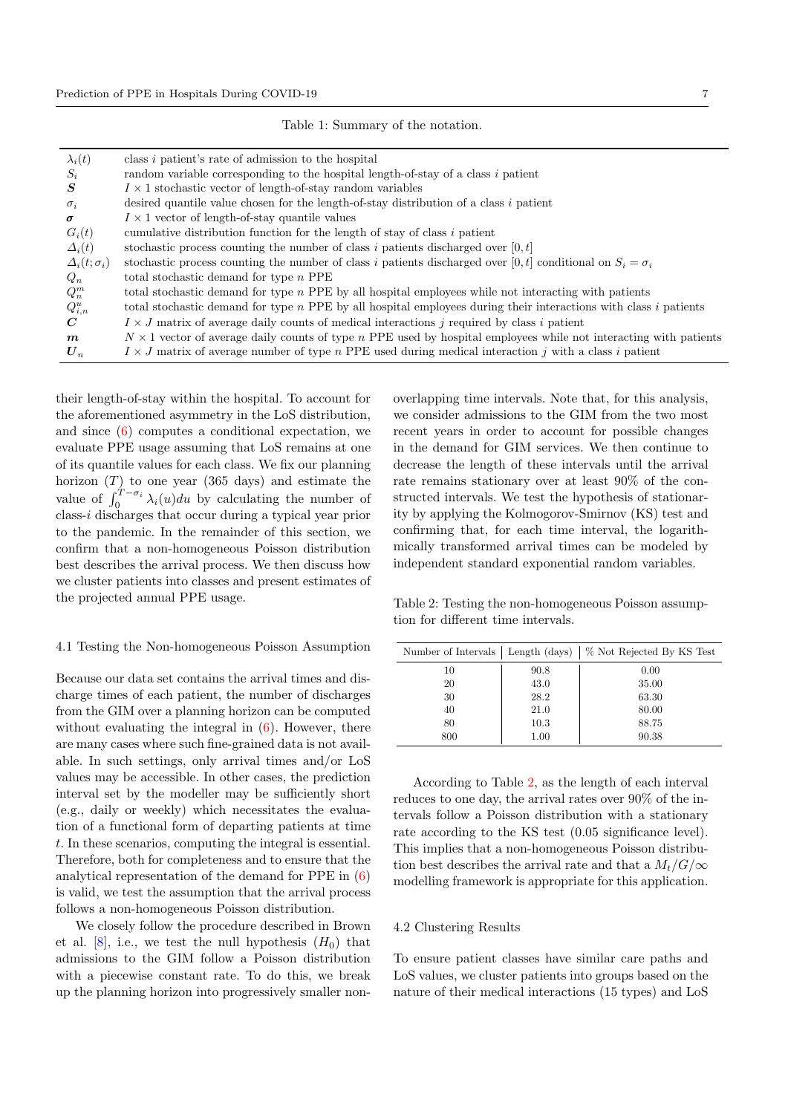| $\lambda_i(t)$         | class <i>i</i> patient's rate of admission to the hospital                                                               |
|------------------------|--------------------------------------------------------------------------------------------------------------------------|
| $S_i$                  | random variable corresponding to the hospital length-of-stay of a class i patient                                        |
| S                      | $I \times 1$ stochastic vector of length-of-stay random variables                                                        |
| $\sigma_i$             | desired quantile value chosen for the length-of-stay distribution of a class $i$ patient                                 |
| $\sigma$               | $I \times 1$ vector of length-of-stay quantile values                                                                    |
| $G_i(t)$               | cumulative distribution function for the length of stay of class i patient                                               |
| $\Delta_i(t)$          | stochastic process counting the number of class i patients discharged over $[0, t]$                                      |
| $\Delta_i(t;\sigma_i)$ | stochastic process counting the number of class i patients discharged over [0, t] conditional on $S_i = \sigma_i$        |
| $Q_n$                  | total stochastic demand for type $n$ PPE                                                                                 |
| $Q_n^m$                | total stochastic demand for type $n$ PPE by all hospital employees while not interacting with patients                   |
| $Q_{i,n}^u$            | total stochastic demand for type $n$ PPE by all hospital employees during their interactions with class $i$ patients     |
| $\mathcal C$           | $I \times J$ matrix of average daily counts of medical interactions j required by class i patient                        |
| $\boldsymbol{m}$       | $N \times 1$ vector of average daily counts of type n PPE used by hospital employees while not interacting with patients |
| $\boldsymbol{U}_n$     | $I \times J$ matrix of average number of type n PPE used during medical interaction j with a class i patient             |
|                        |                                                                                                                          |

their length-of-stay within the hospital. To account for the aforementioned asymmetry in the LoS distribution, and since  $(6)$  computes a conditional expectation, we evaluate PPE usage assuming that LoS remains at one of its quantile values for each class. We fix our planning horizon  $(T)$  to one year (365 days) and estimate the value of  $\int_0^{T-\sigma_i} \lambda_i(u) du$  by calculating the number of class-i discharges that occur during a typical year prior to the pandemic. In the remainder of this section, we confirm that a non-homogeneous Poisson distribution best describes the arrival process. We then discuss how we cluster patients into classes and present estimates of the projected annual PPE usage.

## 4.1 Testing the Non-homogeneous Poisson Assumption

Because our data set contains the arrival times and discharge times of each patient, the number of discharges from the GIM over a planning horizon can be computed without evaluating the integral in  $(6)$ . However, there are many cases where such fine-grained data is not available. In such settings, only arrival times and/or LoS values may be accessible. In other cases, the prediction interval set by the modeller may be sufficiently short (e.g., daily or weekly) which necessitates the evaluation of a functional form of departing patients at time t. In these scenarios, computing the integral is essential. Therefore, both for completeness and to ensure that the analytical representation of the demand for PPE in [\(6\)](#page-5-0) is valid, we test the assumption that the arrival process follows a non-homogeneous Poisson distribution.

We closely follow the procedure described in Brown et al.  $[8]$ , i.e., we test the null hypothesis  $(H_0)$  that admissions to the GIM follow a Poisson distribution with a piecewise constant rate. To do this, we break up the planning horizon into progressively smaller nonoverlapping time intervals. Note that, for this analysis, we consider admissions to the GIM from the two most recent years in order to account for possible changes in the demand for GIM services. We then continue to decrease the length of these intervals until the arrival rate remains stationary over at least 90% of the constructed intervals. We test the hypothesis of stationarity by applying the Kolmogorov-Smirnov (KS) test and confirming that, for each time interval, the logarithmically transformed arrival times can be modeled by independent standard exponential random variables.

<span id="page-6-0"></span>Table 2: Testing the non-homogeneous Poisson assumption for different time intervals.

| Number of Intervals |      | Length (days)   % Not Rejected By KS Test |
|---------------------|------|-------------------------------------------|
| 10                  | 90.8 | 0.00                                      |
| 20                  | 43.0 | 35.00                                     |
| 30                  | 28.2 | 63.30                                     |
| 40                  | 21.0 | 80.00                                     |
| 80                  | 10.3 | 88.75                                     |
| 800                 | 1.00 | 90.38                                     |

According to Table [2,](#page-6-0) as the length of each interval reduces to one day, the arrival rates over 90% of the intervals follow a Poisson distribution with a stationary rate according to the KS test (0.05 significance level). This implies that a non-homogeneous Poisson distribution best describes the arrival rate and that a  $M_t/G/\infty$ modelling framework is appropriate for this application.

#### 4.2 Clustering Results

To ensure patient classes have similar care paths and LoS values, we cluster patients into groups based on the nature of their medical interactions (15 types) and LoS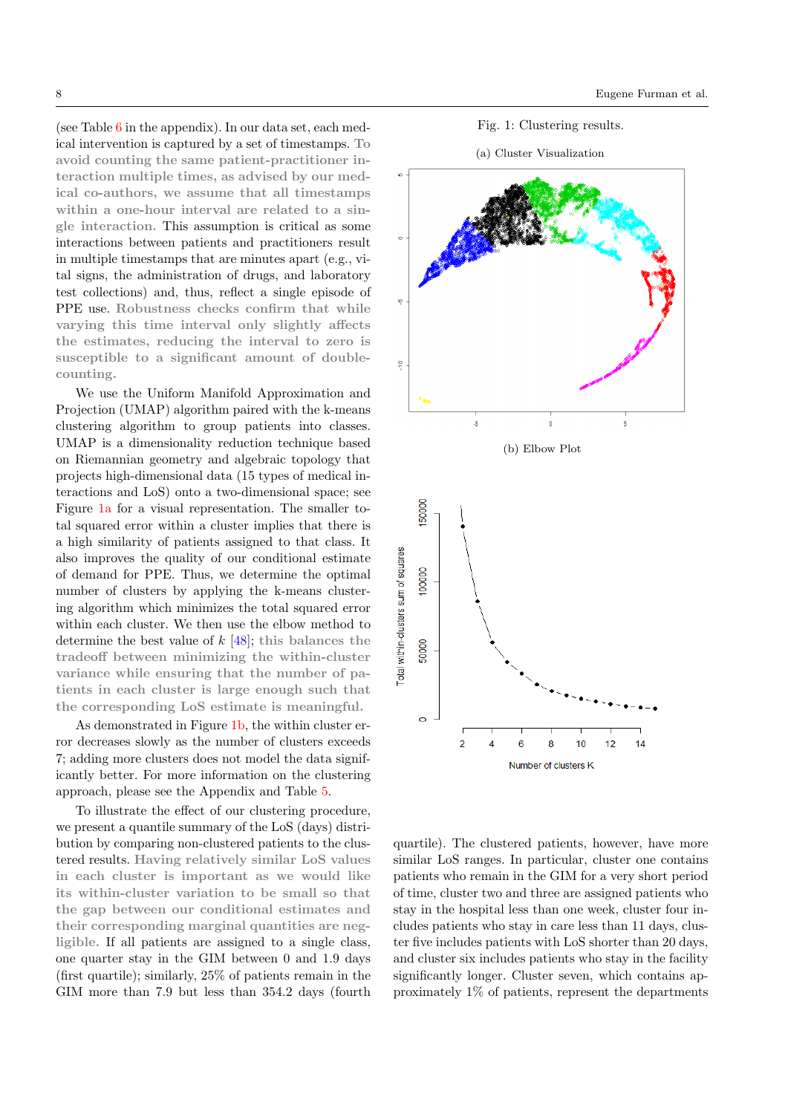(see Table  $6$  in the appendix). In our data set, each medical intervention is captured by a set of timestamps. To avoid counting the same patient-practitioner interaction multiple times, as advised by our medical co-authors, we assume that all timestamps within a one-hour interval are related to a single interaction. This assumption is critical as some interactions between patients and practitioners result in multiple timestamps that are minutes apart (e.g., vital signs, the administration of drugs, and laboratory test collections) and, thus, reflect a single episode of PPE use. Robustness checks confirm that while varying this time interval only slightly affects the estimates, reducing the interval to zero is susceptible to a significant amount of doublecounting.

We use the Uniform Manifold Approximation and Projection (UMAP) algorithm paired with the k-means clustering algorithm to group patients into classes. UMAP is a dimensionality reduction technique based on Riemannian geometry and algebraic topology that projects high-dimensional data (15 types of medical interactions and LoS) onto a two-dimensional space; see Figure [1a](#page-7-0) for a visual representation. The smaller total squared error within a cluster implies that there is a high similarity of patients assigned to that class. It also improves the quality of our conditional estimate of demand for PPE. Thus, we determine the optimal number of clusters by applying the k-means clustering algorithm which minimizes the total squared error within each cluster. We then use the elbow method to determine the best value of  $k$  [\[48\]](#page-11-33); this balances the tradeoff between minimizing the within-cluster variance while ensuring that the number of patients in each cluster is large enough such that the corresponding LoS estimate is meaningful.

As demonstrated in Figure [1b,](#page-7-1) the within cluster error decreases slowly as the number of clusters exceeds 7; adding more clusters does not model the data significantly better. For more information on the clustering approach, please see the Appendix and Table [5.](#page-13-4)

To illustrate the effect of our clustering procedure, we present a quantile summary of the LoS (days) distribution by comparing non-clustered patients to the clustered results. Having relatively similar LoS values in each cluster is important as we would like its within-cluster variation to be small so that the gap between our conditional estimates and their corresponding marginal quantities are negligible. If all patients are assigned to a single class, one quarter stay in the GIM between 0 and 1.9 days (first quartile); similarly, 25% of patients remain in the GIM more than 7.9 but less than 354.2 days (fourth





<span id="page-7-1"></span><span id="page-7-0"></span>

quartile). The clustered patients, however, have more similar LoS ranges. In particular, cluster one contains patients who remain in the GIM for a very short period of time, cluster two and three are assigned patients who stay in the hospital less than one week, cluster four includes patients who stay in care less than 11 days, cluster five includes patients with LoS shorter than 20 days, and cluster six includes patients who stay in the facility significantly longer. Cluster seven, which contains approximately 1% of patients, represent the departments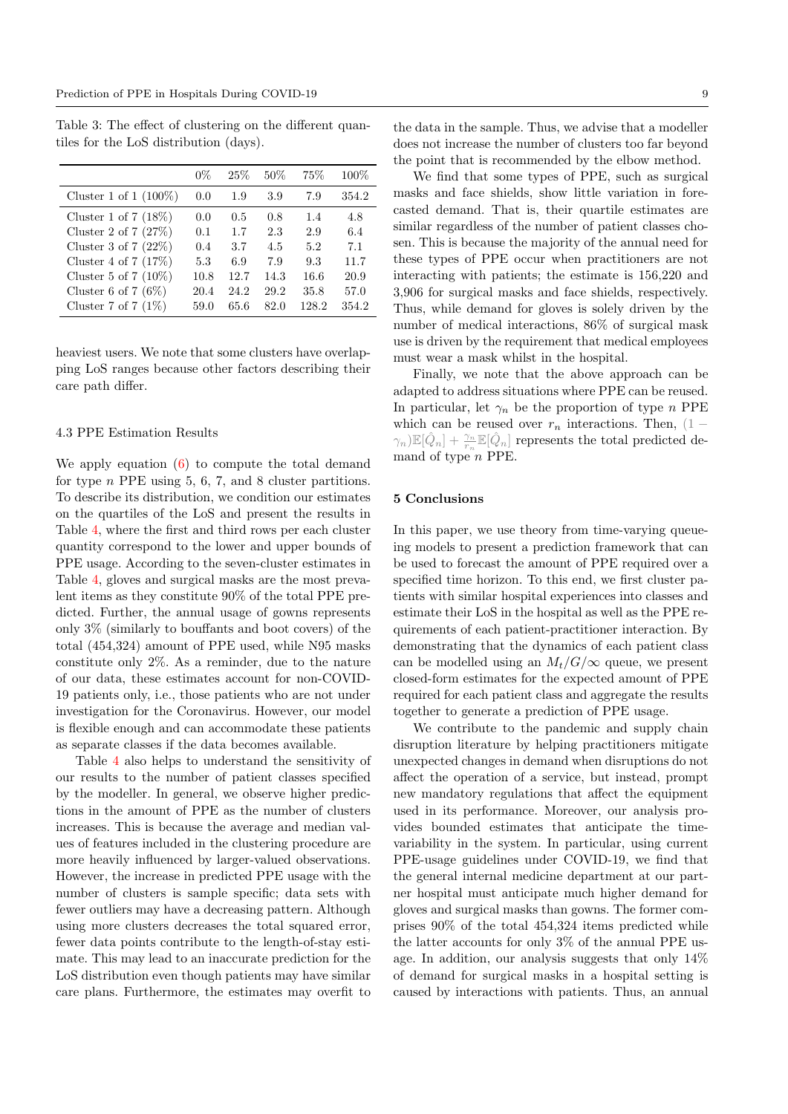Table 3: The effect of clustering on the different quantiles for the LoS distribution (days).

|                          | $0\%$ | 25%  | 50%  | 75%   | $100\%$ |
|--------------------------|-------|------|------|-------|---------|
| Cluster 1 of 1 $(100\%)$ | 0.0   | 1.9  | 3.9  | 7.9   | 354.2   |
| Cluster 1 of $7(18\%)$   | 0.0   | 0.5  | 0.8  | 1.4   | 4.8     |
| Cluster 2 of $7(27%)$    | 0.1   | 1.7  | 2.3  | 2.9   | 6.4     |
| Cluster 3 of 7 $(22\%)$  | 0.4   | 3.7  | 4.5  | 5.2   | 7.1     |
| Cluster 4 of $7(17\%)$   | 5.3   | 6.9  | 7.9  | 93    | 11.7    |
| Cluster 5 of 7 $(10\%)$  | 10.8  | 12.7 | 14.3 | 16.6  | 20.9    |
| Cluster 6 of 7 $(6\%)$   | 20.4  | 24.2 | 29.2 | 35.8  | 57.0    |
| Cluster 7 of 7 $(1\%)$   | 59.0  | 65.6 | 82.0 | 128.2 | 354.2   |

heaviest users. We note that some clusters have overlapping LoS ranges because other factors describing their care path differ.

## <span id="page-8-0"></span>4.3 PPE Estimation Results

We apply equation  $(6)$  to compute the total demand for type  $n$  PPE using 5, 6, 7, and 8 cluster partitions. To describe its distribution, we condition our estimates on the quartiles of the LoS and present the results in Table [4,](#page-9-0) where the first and third rows per each cluster quantity correspond to the lower and upper bounds of PPE usage. According to the seven-cluster estimates in Table [4,](#page-9-0) gloves and surgical masks are the most prevalent items as they constitute 90% of the total PPE predicted. Further, the annual usage of gowns represents only 3% (similarly to bouffants and boot covers) of the total (454,324) amount of PPE used, while N95 masks constitute only 2%. As a reminder, due to the nature of our data, these estimates account for non-COVID-19 patients only, i.e., those patients who are not under investigation for the Coronavirus. However, our model is flexible enough and can accommodate these patients as separate classes if the data becomes available.

Table [4](#page-9-0) also helps to understand the sensitivity of our results to the number of patient classes specified by the modeller. In general, we observe higher predictions in the amount of PPE as the number of clusters increases. This is because the average and median values of features included in the clustering procedure are more heavily influenced by larger-valued observations. However, the increase in predicted PPE usage with the number of clusters is sample specific; data sets with fewer outliers may have a decreasing pattern. Although using more clusters decreases the total squared error, fewer data points contribute to the length-of-stay estimate. This may lead to an inaccurate prediction for the LoS distribution even though patients may have similar care plans. Furthermore, the estimates may overfit to

the data in the sample. Thus, we advise that a modeller does not increase the number of clusters too far beyond the point that is recommended by the elbow method.

We find that some types of PPE, such as surgical masks and face shields, show little variation in forecasted demand. That is, their quartile estimates are similar regardless of the number of patient classes chosen. This is because the majority of the annual need for these types of PPE occur when practitioners are not interacting with patients; the estimate is 156,220 and 3,906 for surgical masks and face shields, respectively. Thus, while demand for gloves is solely driven by the number of medical interactions, 86% of surgical mask use is driven by the requirement that medical employees must wear a mask whilst in the hospital.

Finally, we note that the above approach can be adapted to address situations where PPE can be reused. In particular, let  $\gamma_n$  be the proportion of type n PPE which can be reused over  $r_n$  interactions. Then, (1 –  $\gamma_n)\mathbb{E}[\hat{Q}_n] + \frac{\gamma_n}{r_n}\mathbb{E}[\hat{Q}_n]$  represents the total predicted demand of type n PPE.

# 5 Conclusions

In this paper, we use theory from time-varying queueing models to present a prediction framework that can be used to forecast the amount of PPE required over a specified time horizon. To this end, we first cluster patients with similar hospital experiences into classes and estimate their LoS in the hospital as well as the PPE requirements of each patient-practitioner interaction. By demonstrating that the dynamics of each patient class can be modelled using an  $M_t/G/\infty$  queue, we present closed-form estimates for the expected amount of PPE required for each patient class and aggregate the results together to generate a prediction of PPE usage.

We contribute to the pandemic and supply chain disruption literature by helping practitioners mitigate unexpected changes in demand when disruptions do not affect the operation of a service, but instead, prompt new mandatory regulations that affect the equipment used in its performance. Moreover, our analysis provides bounded estimates that anticipate the timevariability in the system. In particular, using current PPE-usage guidelines under COVID-19, we find that the general internal medicine department at our partner hospital must anticipate much higher demand for gloves and surgical masks than gowns. The former comprises 90% of the total 454,324 items predicted while the latter accounts for only 3% of the annual PPE usage. In addition, our analysis suggests that only 14% of demand for surgical masks in a hospital setting is caused by interactions with patients. Thus, an annual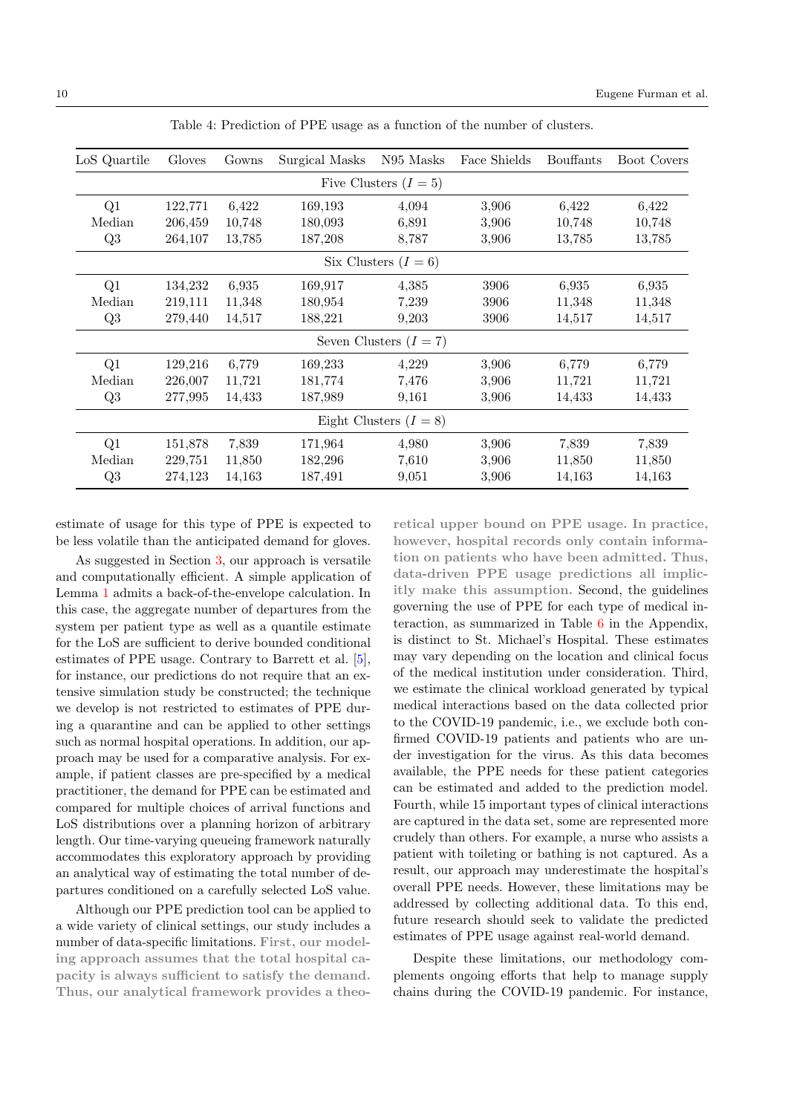<span id="page-9-0"></span>

| LoS Quartile             | Gloves  | Gowns  | Surgical Masks | N95 Masks | Face Shields | <b>Bouffants</b> | <b>Boot Covers</b> |  |  |  |  |
|--------------------------|---------|--------|----------------|-----------|--------------|------------------|--------------------|--|--|--|--|
| Five Clusters $(I = 5)$  |         |        |                |           |              |                  |                    |  |  |  |  |
| Q1                       | 122,771 | 6,422  | 169,193        | 4,094     | 3,906        | 6,422            | 6,422              |  |  |  |  |
| Median                   | 206,459 | 10,748 | 180,093        | 6,891     | 3,906        | 10,748           | 10,748             |  |  |  |  |
| Q3                       | 264,107 | 13,785 | 187,208        | 8,787     | 3,906        | 13,785           | 13,785             |  |  |  |  |
| Six Clusters $(I = 6)$   |         |        |                |           |              |                  |                    |  |  |  |  |
| Q1                       | 134,232 | 6,935  | 169,917        | 4,385     | 3906         | 6.935            | 6.935              |  |  |  |  |
| Median                   | 219,111 | 11,348 | 180,954        | 7,239     | 3906         | 11,348           | 11,348             |  |  |  |  |
| Q3                       | 279,440 | 14,517 | 188,221        | 9,203     | 3906         | 14,517           | 14,517             |  |  |  |  |
| Seven Clusters $(I = 7)$ |         |        |                |           |              |                  |                    |  |  |  |  |
| Q1                       | 129,216 | 6,779  | 169,233        | 4,229     | 3,906        | 6,779            | 6,779              |  |  |  |  |
| Median                   | 226,007 | 11,721 | 181,774        | 7,476     | 3.906        | 11,721           | 11,721             |  |  |  |  |
| Q3                       | 277,995 | 14,433 | 187,989        | 9,161     | 3,906        | 14,433           | 14,433             |  |  |  |  |
| Eight Clusters $(I = 8)$ |         |        |                |           |              |                  |                    |  |  |  |  |
| Q1                       | 151,878 | 7,839  | 171,964        | 4,980     | 3,906        | 7,839            | 7,839              |  |  |  |  |
| Median                   | 229,751 | 11,850 | 182,296        | 7,610     | 3,906        | 11,850           | 11,850             |  |  |  |  |
| Q3                       | 274,123 | 14,163 | 187,491        | 9,051     | 3,906        | 14,163           | 14,163             |  |  |  |  |

Table 4: Prediction of PPE usage as a function of the number of clusters.

estimate of usage for this type of PPE is expected to be less volatile than the anticipated demand for gloves.

As suggested in Section [3,](#page-3-0) our approach is versatile and computationally efficient. A simple application of Lemma [1](#page-5-1) admits a back-of-the-envelope calculation. In this case, the aggregate number of departures from the system per patient type as well as a quantile estimate for the LoS are sufficient to derive bounded conditional estimates of PPE usage. Contrary to Barrett et al. [\[5\]](#page-10-8), for instance, our predictions do not require that an extensive simulation study be constructed; the technique we develop is not restricted to estimates of PPE during a quarantine and can be applied to other settings such as normal hospital operations. In addition, our approach may be used for a comparative analysis. For example, if patient classes are pre-specified by a medical practitioner, the demand for PPE can be estimated and compared for multiple choices of arrival functions and LoS distributions over a planning horizon of arbitrary length. Our time-varying queueing framework naturally accommodates this exploratory approach by providing an analytical way of estimating the total number of departures conditioned on a carefully selected LoS value.

Although our PPE prediction tool can be applied to a wide variety of clinical settings, our study includes a number of data-specific limitations. First, our modeling approach assumes that the total hospital capacity is always sufficient to satisfy the demand. Thus, our analytical framework provides a theoretical upper bound on PPE usage. In practice, however, hospital records only contain information on patients who have been admitted. Thus, data-driven PPE usage predictions all implicitly make this assumption. Second, the guidelines governing the use of PPE for each type of medical interaction, as summarized in Table [6](#page-14-0) in the Appendix, is distinct to St. Michael's Hospital. These estimates may vary depending on the location and clinical focus of the medical institution under consideration. Third, we estimate the clinical workload generated by typical medical interactions based on the data collected prior to the COVID-19 pandemic, i.e., we exclude both confirmed COVID-19 patients and patients who are under investigation for the virus. As this data becomes available, the PPE needs for these patient categories can be estimated and added to the prediction model. Fourth, while 15 important types of clinical interactions are captured in the data set, some are represented more crudely than others. For example, a nurse who assists a patient with toileting or bathing is not captured. As a result, our approach may underestimate the hospital's overall PPE needs. However, these limitations may be addressed by collecting additional data. To this end, future research should seek to validate the predicted estimates of PPE usage against real-world demand.

Despite these limitations, our methodology complements ongoing efforts that help to manage supply chains during the COVID-19 pandemic. For instance,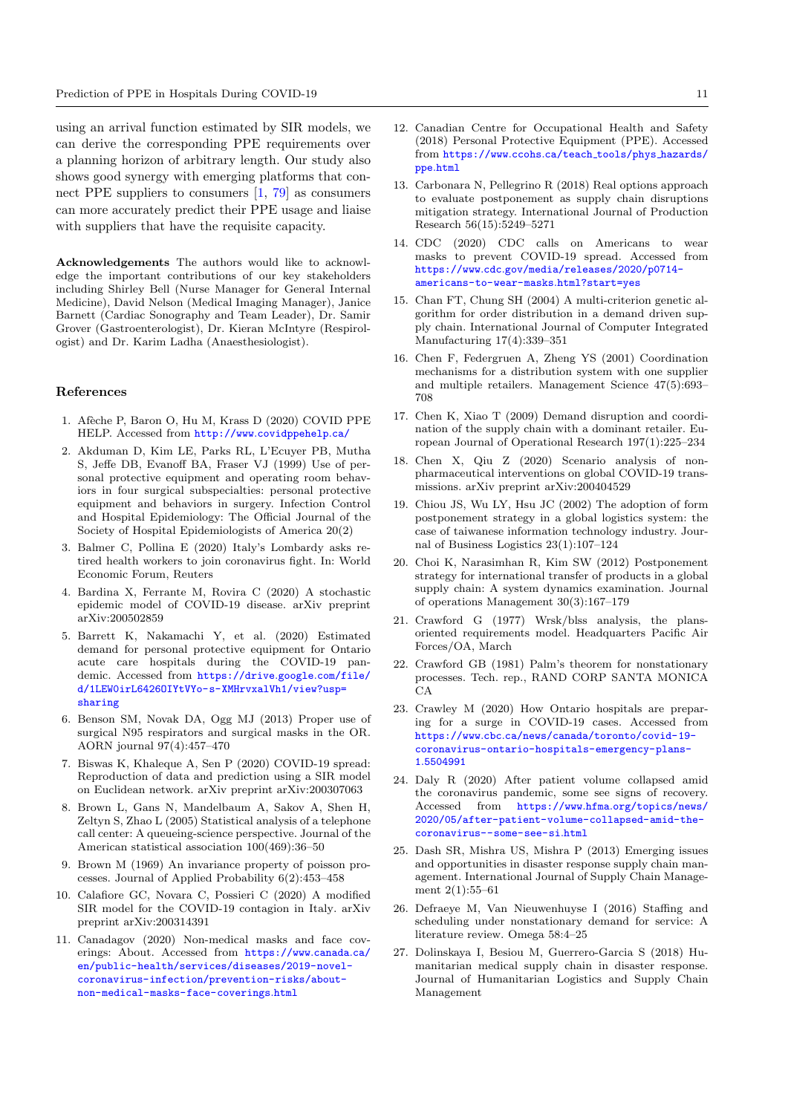using an arrival function estimated by SIR models, we can derive the corresponding PPE requirements over a planning horizon of arbitrary length. Our study also shows good synergy with emerging platforms that connect PPE suppliers to consumers [\[1,](#page-10-26) [79\]](#page-12-31) as consumers can more accurately predict their PPE usage and liaise with suppliers that have the requisite capacity.

Acknowledgements The authors would like to acknowledge the important contributions of our key stakeholders including Shirley Bell (Nurse Manager for General Internal Medicine), David Nelson (Medical Imaging Manager), Janice Barnett (Cardiac Sonography and Team Leader), Dr. Samir Grover (Gastroenterologist), Dr. Kieran McIntyre (Respirologist) and Dr. Karim Ladha (Anaesthesiologist).

#### References

- <span id="page-10-26"></span>1. Afèche P, Baron O, Hu M, Krass D (2020) COVID PPE HELP. Accessed from http://www.[covidppehelp](http://www.covidppehelp.ca/).ca/
- <span id="page-10-4"></span>2. Akduman D, Kim LE, Parks RL, L'Ecuyer PB, Mutha S, Jeffe DB, Evanoff BA, Fraser VJ (1999) Use of personal protective equipment and operating room behaviors in four surgical subspecialties: personal protective equipment and behaviors in surgery. Infection Control and Hospital Epidemiology: The Official Journal of the Society of Hospital Epidemiologists of America 20(2)
- <span id="page-10-3"></span>3. Balmer C, Pollina E (2020) Italy's Lombardy asks retired health workers to join coronavirus fight. In: World Economic Forum, Reuters
- <span id="page-10-24"></span>4. Bardina X, Ferrante M, Rovira C (2020) A stochastic epidemic model of COVID-19 disease. arXiv preprint arXiv:200502859
- <span id="page-10-8"></span>5. Barrett K, Nakamachi Y, et al. (2020) Estimated demand for personal protective equipment for Ontario acute care hospitals during the COVID-19 pandemic. Accessed from [https://drive](https://drive.google.com/file/d/1LEW0irL6426OIYtVYo-s-XMHrvxalVh1/view?usp=sharing).google.com/file/ [d/1LEW0irL6426OIYtVYo-s-XMHrvxalVh1/view?usp=](https://drive.google.com/file/d/1LEW0irL6426OIYtVYo-s-XMHrvxalVh1/view?usp=sharing) [sharing](https://drive.google.com/file/d/1LEW0irL6426OIYtVYo-s-XMHrvxalVh1/view?usp=sharing)
- <span id="page-10-5"></span>6. Benson SM, Novak DA, Ogg MJ (2013) Proper use of surgical N95 respirators and surgical masks in the OR. AORN journal 97(4):457–470
- <span id="page-10-22"></span>7. Biswas K, Khaleque A, Sen P (2020) COVID-19 spread: Reproduction of data and prediction using a SIR model on Euclidean network. arXiv preprint arXiv:200307063
- <span id="page-10-25"></span>8. Brown L, Gans N, Mandelbaum A, Sakov A, Shen H, Zeltyn S, Zhao L (2005) Statistical analysis of a telephone call center: A queueing-science perspective. Journal of the American statistical association 100(469):36–50
- <span id="page-10-10"></span>9. Brown M (1969) An invariance property of poisson processes. Journal of Applied Probability 6(2):453–458
- <span id="page-10-9"></span>10. Calafiore GC, Novara C, Possieri C (2020) A modified SIR model for the COVID-19 contagion in Italy. arXiv preprint arXiv:200314391
- <span id="page-10-2"></span>11. Canadagov (2020) Non-medical masks and face coverings: About. Accessed from [https://www](https://www.canada.ca/en/public-health/services/diseases/2019-novel-coronavirus-infection/prevention-risks/about-non-medical-masks-face-coverings.html).canada.ca/ [en/public-health/services/diseases/2019-novel](https://www.canada.ca/en/public-health/services/diseases/2019-novel-coronavirus-infection/prevention-risks/about-non-medical-masks-face-coverings.html)[coronavirus-infection/prevention-risks/about](https://www.canada.ca/en/public-health/services/diseases/2019-novel-coronavirus-infection/prevention-risks/about-non-medical-masks-face-coverings.html)[non-medical-masks-face-coverings](https://www.canada.ca/en/public-health/services/diseases/2019-novel-coronavirus-infection/prevention-risks/about-non-medical-masks-face-coverings.html).html
- <span id="page-10-0"></span>12. Canadian Centre for Occupational Health and Safety (2018) Personal Protective Equipment (PPE). Accessed from [https://www](https://www.ccohs.ca/teach_tools/phys_hazards/ppe.html).ccohs.ca/teach tools/phys hazards/ ppe.[html](https://www.ccohs.ca/teach_tools/phys_hazards/ppe.html)
- <span id="page-10-14"></span>13. Carbonara N, Pellegrino R (2018) Real options approach to evaluate postponement as supply chain disruptions mitigation strategy. International Journal of Production Research 56(15):5249–5271
- <span id="page-10-1"></span>14. CDC (2020) CDC calls on Americans to wear masks to prevent COVID-19 spread. Accessed from https://www.cdc.[gov/media/releases/2020/p0714](https://www.cdc.gov/media/releases/2020/p0714-americans-to-wear-masks.html?start=yes) [americans-to-wear-masks](https://www.cdc.gov/media/releases/2020/p0714-americans-to-wear-masks.html?start=yes).html?start=yes
- <span id="page-10-19"></span>15. Chan FT, Chung SH (2004) A multi-criterion genetic algorithm for order distribution in a demand driven supply chain. International Journal of Computer Integrated Manufacturing 17(4):339–351
- <span id="page-10-21"></span>16. Chen F, Federgruen A, Zheng YS (2001) Coordination mechanisms for a distribution system with one supplier and multiple retailers. Management Science 47(5):693– 708
- <span id="page-10-20"></span>17. Chen K, Xiao T (2009) Demand disruption and coordination of the supply chain with a dominant retailer. European Journal of Operational Research 197(1):225–234
- <span id="page-10-23"></span>18. Chen X, Qiu Z (2020) Scenario analysis of nonpharmaceutical interventions on global COVID-19 transmissions. arXiv preprint arXiv:200404529
- <span id="page-10-17"></span>19. Chiou JS, Wu LY, Hsu JC (2002) The adoption of form postponement strategy in a global logistics system: the case of taiwanese information technology industry. Journal of Business Logistics 23(1):107–124
- <span id="page-10-18"></span>20. Choi K, Narasimhan R, Kim SW (2012) Postponement strategy for international transfer of products in a global supply chain: A system dynamics examination. Journal of operations Management 30(3):167–179
- <span id="page-10-12"></span>21. Crawford G (1977) Wrsk/blss analysis, the plansoriented requirements model. Headquarters Pacific Air Forces/OA, March
- <span id="page-10-13"></span>22. Crawford GB (1981) Palm's theorem for nonstationary processes. Tech. rep., RAND CORP SANTA MONICA CA
- <span id="page-10-7"></span>23. Crawley M (2020) How Ontario hospitals are preparing for a surge in COVID-19 cases. Accessed from https://www.cbc.[ca/news/canada/toronto/covid-19](https://www.cbc.ca/news/canada/toronto/covid-19-coronavirus-ontario-hospitals-emergency-plans-1.5504991) [coronavirus-ontario-hospitals-emergency-plans-](https://www.cbc.ca/news/canada/toronto/covid-19-coronavirus-ontario-hospitals-emergency-plans-1.5504991)1.[5504991](https://www.cbc.ca/news/canada/toronto/covid-19-coronavirus-ontario-hospitals-emergency-plans-1.5504991)
- <span id="page-10-6"></span>24. Daly R (2020) After patient volume collapsed amid the coronavirus pandemic, some see signs of recovery. Accessed from https://www.hfma.[org/topics/news/](https://www.hfma.org/topics/news/2020/05/after-patient-volume-collapsed-amid-the-coronavirus--some-see-si.html) [2020/05/after-patient-volume-collapsed-amid-the](https://www.hfma.org/topics/news/2020/05/after-patient-volume-collapsed-amid-the-coronavirus--some-see-si.html)[coronavirus--some-see-si](https://www.hfma.org/topics/news/2020/05/after-patient-volume-collapsed-amid-the-coronavirus--some-see-si.html).html
- <span id="page-10-15"></span>25. Dash SR, Mishra US, Mishra P (2013) Emerging issues and opportunities in disaster response supply chain management. International Journal of Supply Chain Management 2(1):55–61
- <span id="page-10-11"></span>26. Defraeye M, Van Nieuwenhuyse I (2016) Staffing and scheduling under nonstationary demand for service: A literature review. Omega 58:4–25
- <span id="page-10-16"></span>27. Dolinskaya I, Besiou M, Guerrero-Garcia S (2018) Humanitarian medical supply chain in disaster response. Journal of Humanitarian Logistics and Supply Chain Management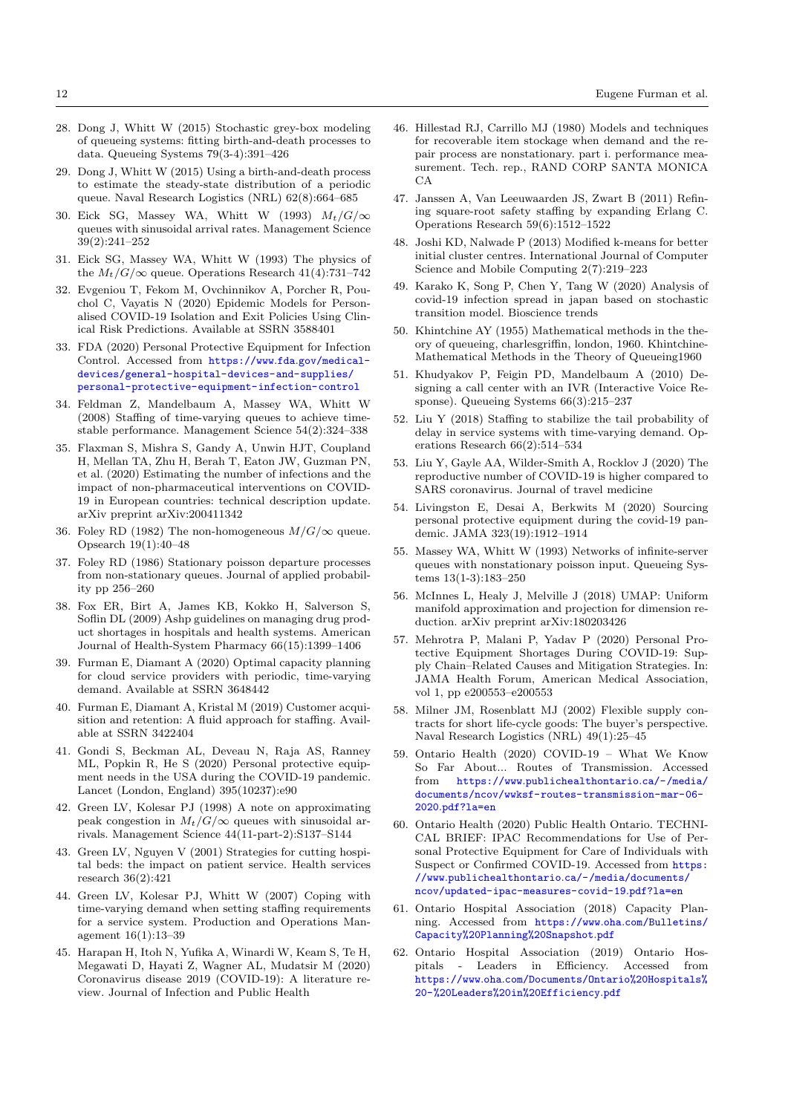- <span id="page-11-12"></span>28. Dong J, Whitt W (2015) Stochastic grey-box modeling of queueing systems: fitting birth-and-death processes to data. Queueing Systems 79(3-4):391–426
- <span id="page-11-13"></span>29. Dong J, Whitt W (2015) Using a birth-and-death process to estimate the steady-state distribution of a periodic queue. Naval Research Logistics (NRL) 62(8):664–685
- <span id="page-11-10"></span>30. Eick SG, Massey WA, Whitt W (1993)  $M_t/G/\infty$ queues with sinusoidal arrival rates. Management Science 39(2):241–252
- <span id="page-11-11"></span>31. Eick SG, Massey WA, Whitt W (1993) The physics of the  $M_t/G/\infty$  queue. Operations Research 41(4):731–742
- <span id="page-11-28"></span>32. Evgeniou T, Fekom M, Ovchinnikov A, Porcher R, Pouchol C, Vayatis N (2020) Epidemic Models for Personalised COVID-19 Isolation and Exit Policies Using Clinical Risk Predictions. Available at SSRN 3588401
- <span id="page-11-0"></span>33. FDA (2020) Personal Protective Equipment for Infection Control. Accessed from https://www.fda.[gov/medical](https://www.fda.gov/medical-devices/general-hospital-devices-and-supplies/personal-protective-equipment-infection-control)[devices/general-hospital-devices-and-supplies/](https://www.fda.gov/medical-devices/general-hospital-devices-and-supplies/personal-protective-equipment-infection-control) [personal-protective-equipment-infection-control](https://www.fda.gov/medical-devices/general-hospital-devices-and-supplies/personal-protective-equipment-infection-control)
- <span id="page-11-18"></span>34. Feldman Z, Mandelbaum A, Massey WA, Whitt W (2008) Staffing of time-varying queues to achieve timestable performance. Management Science 54(2):324–338
- <span id="page-11-29"></span>35. Flaxman S, Mishra S, Gandy A, Unwin HJT, Coupland H, Mellan TA, Zhu H, Berah T, Eaton JW, Guzman PN, et al. (2020) Estimating the number of infections and the impact of non-pharmaceutical interventions on COVID-19 in European countries: technical description update. arXiv preprint arXiv:200411342
- <span id="page-11-8"></span>36. Foley RD (1982) The non-homogeneous  $M/G/\infty$  queue. Opsearch 19(1):40–48
- <span id="page-11-9"></span>37. Foley RD (1986) Stationary poisson departure processes from non-stationary queues. Journal of applied probability pp 256–260
- <span id="page-11-30"></span>38. Fox ER, Birt A, James KB, Kokko H, Salverson S, Soflin DL (2009) Ashp guidelines on managing drug product shortages in hospitals and health systems. American Journal of Health-System Pharmacy 66(15):1399–1406
- <span id="page-11-21"></span>39. Furman E, Diamant A (2020) Optimal capacity planning for cloud service providers with periodic, time-varying demand. Available at SSRN 3648442
- <span id="page-11-16"></span>40. Furman E, Diamant A, Kristal M (2019) Customer acquisition and retention: A fluid approach for staffing. Available at SSRN 3422404
- <span id="page-11-2"></span>41. Gondi S, Beckman AL, Deveau N, Raja AS, Ranney ML, Popkin R, He S (2020) Personal protective equipment needs in the USA during the COVID-19 pandemic. Lancet (London, England) 395(10237):e90
- <span id="page-11-17"></span>42. Green LV, Kolesar PJ (1998) A note on approximating peak congestion in  $M_t/G/\infty$  queues with sinusoidal arrivals. Management Science 44(11-part-2):S137–S144
- <span id="page-11-22"></span>43. Green LV, Nguyen V (2001) Strategies for cutting hospital beds: the impact on patient service. Health services research 36(2):421
- <span id="page-11-23"></span>44. Green LV, Kolesar PJ, Whitt W (2007) Coping with time-varying demand when setting staffing requirements for a service system. Production and Operations Management 16(1):13–39
- <span id="page-11-25"></span>45. Harapan H, Itoh N, Yufika A, Winardi W, Keam S, Te H, Megawati D, Hayati Z, Wagner AL, Mudatsir M (2020) Coronavirus disease 2019 (COVID-19): A literature review. Journal of Infection and Public Health
- <span id="page-11-14"></span>46. Hillestad RJ, Carrillo MJ (1980) Models and techniques for recoverable item stockage when demand and the repair process are nonstationary. part i. performance measurement. Tech. rep., RAND CORP SANTA MONICA CA
- <span id="page-11-19"></span>47. Janssen A, Van Leeuwaarden JS, Zwart B (2011) Refining square-root safety staffing by expanding Erlang C. Operations Research 59(6):1512–1522
- <span id="page-11-33"></span>48. Joshi KD, Nalwade P (2013) Modified k-means for better initial cluster centres. International Journal of Computer Science and Mobile Computing 2(7):219–223
- <span id="page-11-27"></span>49. Karako K, Song P, Chen Y, Tang W (2020) Analysis of covid-19 infection spread in japan based on stochastic transition model. Bioscience trends
- <span id="page-11-7"></span>50. Khintchine AY (1955) Mathematical methods in the theory of queueing, charlesgriffin, london, 1960. Khintchine-Mathematical Methods in the Theory of Queueing1960
- <span id="page-11-15"></span>51. Khudyakov P, Feigin PD, Mandelbaum A (2010) Designing a call center with an IVR (Interactive Voice Response). Queueing Systems 66(3):215–237
- <span id="page-11-20"></span>52. Liu Y (2018) Staffing to stabilize the tail probability of delay in service systems with time-varying demand. Operations Research 66(2):514–534
- <span id="page-11-26"></span>53. Liu Y, Gayle AA, Wilder-Smith A, Rocklov J (2020) The reproductive number of COVID-19 is higher compared to SARS coronavirus. Journal of travel medicine
- <span id="page-11-3"></span>54. Livingston E, Desai A, Berkwits M (2020) Sourcing personal protective equipment during the covid-19 pandemic. JAMA 323(19):1912–1914
- <span id="page-11-6"></span>55. Massey WA, Whitt W (1993) Networks of infinite-server queues with nonstationary poisson input. Queueing Systems 13(1-3):183–250
- <span id="page-11-34"></span>56. McInnes L, Healy J, Melville J (2018) UMAP: Uniform manifold approximation and projection for dimension reduction. arXiv preprint arXiv:180203426
- <span id="page-11-5"></span>57. Mehrotra P, Malani P, Yadav P (2020) Personal Protective Equipment Shortages During COVID-19: Supply Chain–Related Causes and Mitigation Strategies. In: JAMA Health Forum, American Medical Association, vol 1, pp e200553–e200553
- <span id="page-11-24"></span>58. Milner JM, Rosenblatt MJ (2002) Flexible supply contracts for short life-cycle goods: The buyer's perspective. Naval Research Logistics (NRL) 49(1):25–45
- <span id="page-11-1"></span>59. Ontario Health (2020) COVID-19 – What We Know So Far About... Routes of Transmission. Accessed from https://www.[publichealthontario](https://www.publichealthontario.ca/-/media/documents/ncov/wwksf-routes-transmission-mar-06-2020.pdf?la=en).ca/-/media/ [documents/ncov/wwksf-routes-transmission-mar-06-](https://www.publichealthontario.ca/-/media/documents/ncov/wwksf-routes-transmission-mar-06-2020.pdf?la=en) 2020.[pdf?la=en](https://www.publichealthontario.ca/-/media/documents/ncov/wwksf-routes-transmission-mar-06-2020.pdf?la=en)
- <span id="page-11-4"></span>60. Ontario Health (2020) Public Health Ontario. TECHNI-CAL BRIEF: IPAC Recommendations for Use of Personal Protective Equipment for Care of Individuals with Suspect or Confirmed COVID-19. Accessed from [https:](https://www.publichealthontario.ca/-/media/documents/ncov/updated-ipac-measures-covid-19.pdf?la=en) //www.publichealthontario.[ca/-/media/documents/](https://www.publichealthontario.ca/-/media/documents/ncov/updated-ipac-measures-covid-19.pdf?la=en) [ncov/updated-ipac-measures-covid-19](https://www.publichealthontario.ca/-/media/documents/ncov/updated-ipac-measures-covid-19.pdf?la=en).pdf?la=en
- <span id="page-11-31"></span>61. Ontario Hospital Association (2018) Capacity Planning. Accessed from https://www.oha.[com/Bulletins/](https://www.oha.com/Bulletins/Capacity%20Planning%20Snapshot.pdf) [Capacity%20Planning%20Snapshot](https://www.oha.com/Bulletins/Capacity%20Planning%20Snapshot.pdf).pdf
- <span id="page-11-32"></span>62. Ontario Hospital Association (2019) Ontario Hospitals - Leaders in Efficiency. Accessed from https://www.oha.[com/Documents/Ontario%20Hospitals%](https://www.oha.com/Documents/Ontario%20Hospitals%20-%20Leaders%20in%20Efficiency.pdf) [20-%20Leaders%20in%20Efficiency](https://www.oha.com/Documents/Ontario%20Hospitals%20-%20Leaders%20in%20Efficiency.pdf).pdf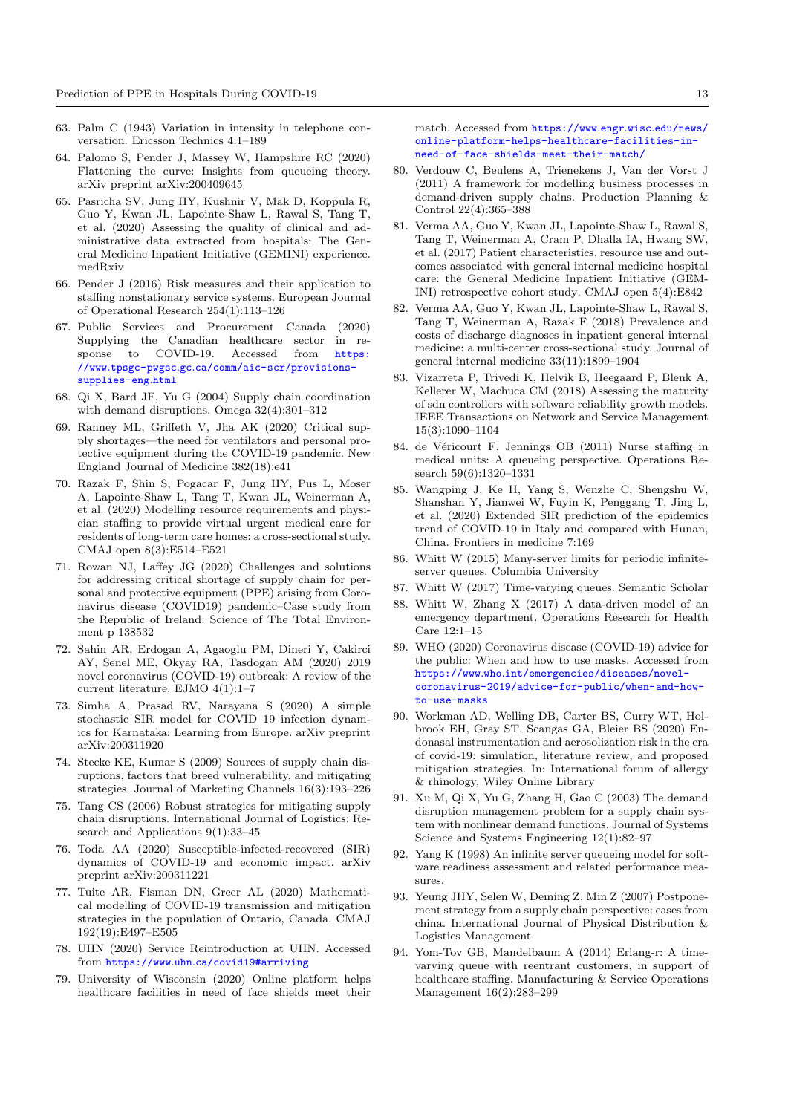- <span id="page-12-8"></span>63. Palm C (1943) Variation in intensity in telephone conversation. Ericsson Technics 4:1–189
- <span id="page-12-27"></span>64. Palomo S, Pender J, Massey W, Hampshire RC (2020) Flattening the curve: Insights from queueing theory. arXiv preprint arXiv:200409645
- <span id="page-12-30"></span>65. Pasricha SV, Jung HY, Kushnir V, Mak D, Koppula R, Guo Y, Kwan JL, Lapointe-Shaw L, Rawal S, Tang T, et al. (2020) Assessing the quality of clinical and administrative data extracted from hospitals: The General Medicine Inpatient Initiative (GEMINI) experience. medRxiv
- <span id="page-12-13"></span>66. Pender J (2016) Risk measures and their application to staffing nonstationary service systems. European Journal of Operational Research 254(1):113–126
- <span id="page-12-2"></span>67. Public Services and Procurement Canada (2020) Supplying the Canadian healthcare sector in response to COVID-19. Accessed from [https:](https://www.tpsgc-pwgsc.gc.ca/comm/aic-scr/provisions-supplies-eng.html) //www.tpsgc-pwgsc.gc.[ca/comm/aic-scr/provisions](https://www.tpsgc-pwgsc.gc.ca/comm/aic-scr/provisions-supplies-eng.html)[supplies-eng](https://www.tpsgc-pwgsc.gc.ca/comm/aic-scr/provisions-supplies-eng.html).html
- <span id="page-12-20"></span>68. Qi X, Bard JF, Yu G (2004) Supply chain coordination with demand disruptions. Omega 32(4):301–312
- <span id="page-12-1"></span>69. Ranney ML, Griffeth V, Jha AK (2020) Critical supply shortages—the need for ventilators and personal protective equipment during the COVID-19 pandemic. New England Journal of Medicine 382(18):e41
- <span id="page-12-14"></span>70. Razak F, Shin S, Pogacar F, Jung HY, Pus L, Moser A, Lapointe-Shaw L, Tang T, Kwan JL, Weinerman A, et al. (2020) Modelling resource requirements and physician staffing to provide virtual urgent medical care for residents of long-term care homes: a cross-sectional study. CMAJ open 8(3):E514–E521
- <span id="page-12-26"></span>71. Rowan NJ, Laffey JG (2020) Challenges and solutions for addressing critical shortage of supply chain for personal and protective equipment (PPE) arising from Coronavirus disease (COVID19) pandemic–Case study from the Republic of Ireland. Science of The Total Environment p 138532
- <span id="page-12-22"></span>72. Sahin AR, Erdogan A, Agaoglu PM, Dineri Y, Cakirci AY, Senel ME, Okyay RA, Tasdogan AM (2020) 2019 novel coronavirus (COVID-19) outbreak: A review of the current literature. EJMO 4(1):1–7
- <span id="page-12-25"></span>73. Simha A, Prasad RV, Narayana S (2020) A simple stochastic SIR model for COVID 19 infection dynamics for Karnataka: Learning from Europe. arXiv preprint arXiv:200311920
- <span id="page-12-17"></span>74. Stecke KE, Kumar S (2009) Sources of supply chain disruptions, factors that breed vulnerability, and mitigating strategies. Journal of Marketing Channels 16(3):193–226
- <span id="page-12-16"></span>75. Tang CS (2006) Robust strategies for mitigating supply chain disruptions. International Journal of Logistics: Research and Applications 9(1):33–45
- <span id="page-12-5"></span>76. Toda AA (2020) Susceptible-infected-recovered (SIR) dynamics of COVID-19 and economic impact. arXiv preprint arXiv:200311221
- <span id="page-12-24"></span>77. Tuite AR, Fisman DN, Greer AL (2020) Mathematical modelling of COVID-19 transmission and mitigation strategies in the population of Ontario, Canada. CMAJ 192(19):E497–E505
- <span id="page-12-3"></span>78. UHN (2020) Service Reintroduction at UHN. Accessed from https://www.uhn.[ca/covid19#arriving](https://www.uhn.ca/covid19#arriving)
- <span id="page-12-31"></span>79. University of Wisconsin (2020) Online platform helps healthcare facilities in need of face shields meet their

match. Accessed from [https://www](https://www.engr.wisc.edu/news/online-platform-helps-healthcare-facilities-in-need-of-face-shields-meet-their-match/).engr.wisc.edu/news/ [online-platform-helps-healthcare-facilities-in](https://www.engr.wisc.edu/news/online-platform-helps-healthcare-facilities-in-need-of-face-shields-meet-their-match/)[need-of-face-shields-meet-their-match/](https://www.engr.wisc.edu/news/online-platform-helps-healthcare-facilities-in-need-of-face-shields-meet-their-match/)

- <span id="page-12-19"></span>80. Verdouw C, Beulens A, Trienekens J, Van der Vorst J (2011) A framework for modelling business processes in demand-driven supply chains. Production Planning & Control 22(4):365–388
- <span id="page-12-28"></span>81. Verma AA, Guo Y, Kwan JL, Lapointe-Shaw L, Rawal S, Tang T, Weinerman A, Cram P, Dhalla IA, Hwang SW, et al. (2017) Patient characteristics, resource use and outcomes associated with general internal medicine hospital care: the General Medicine Inpatient Initiative (GEM-INI) retrospective cohort study. CMAJ open 5(4):E842
- <span id="page-12-29"></span>82. Verma AA, Guo Y, Kwan JL, Lapointe-Shaw L, Rawal S, Tang T, Weinerman A, Razak F (2018) Prevalence and costs of discharge diagnoses in inpatient general internal medicine: a multi-center cross-sectional study. Journal of general internal medicine 33(11):1899–1904
- <span id="page-12-12"></span>83. Vizarreta P, Trivedi K, Helvik B, Heegaard P, Blenk A, Kellerer W, Machuca CM (2018) Assessing the maturity of sdn controllers with software reliability growth models. IEEE Transactions on Network and Service Management 15(3):1090–1104
- <span id="page-12-15"></span>84. de Véricourt F, Jennings OB (2011) Nurse staffing in medical units: A queueing perspective. Operations Research 59(6):1320–1331
- <span id="page-12-6"></span>85. Wangping J, Ke H, Yang S, Wenzhe C, Shengshu W, Shanshan Y, Jianwei W, Fuyin K, Penggang T, Jing L, et al. (2020) Extended SIR prediction of the epidemics trend of COVID-19 in Italy and compared with Hunan, China. Frontiers in medicine 7:169
- <span id="page-12-9"></span>86. Whitt W (2015) Many-server limits for periodic infiniteserver queues. Columbia University
- <span id="page-12-10"></span>87. Whitt W (2017) Time-varying queues. Semantic Scholar
- <span id="page-12-7"></span>88. Whitt W, Zhang X (2017) A data-driven model of an emergency department. Operations Research for Health Care 12:1–15
- <span id="page-12-0"></span>89. WHO (2020) Coronavirus disease (COVID-19) advice for the public: When and how to use masks. Accessed from https://www.who.[int/emergencies/diseases/novel](https://www.who.int/emergencies/diseases/novel-coronavirus-2019/advice-for-public/when-and-how-to-use-masks)[coronavirus-2019/advice-for-public/when-and-how](https://www.who.int/emergencies/diseases/novel-coronavirus-2019/advice-for-public/when-and-how-to-use-masks)[to-use-masks](https://www.who.int/emergencies/diseases/novel-coronavirus-2019/advice-for-public/when-and-how-to-use-masks)
- <span id="page-12-23"></span>90. Workman AD, Welling DB, Carter BS, Curry WT, Holbrook EH, Gray ST, Scangas GA, Bleier BS (2020) Endonasal instrumentation and aerosolization risk in the era of covid-19: simulation, literature review, and proposed mitigation strategies. In: International forum of allergy & rhinology, Wiley Online Library
- <span id="page-12-21"></span>91. Xu M, Qi X, Yu G, Zhang H, Gao C (2003) The demand disruption management problem for a supply chain system with nonlinear demand functions. Journal of Systems Science and Systems Engineering 12(1):82–97
- <span id="page-12-11"></span>92. Yang K (1998) An infinite server queueing model for software readiness assessment and related performance measures.
- <span id="page-12-18"></span>93. Yeung JHY, Selen W, Deming Z, Min Z (2007) Postponement strategy from a supply chain perspective: cases from china. International Journal of Physical Distribution & Logistics Management
- <span id="page-12-4"></span>94. Yom-Tov GB, Mandelbaum A (2014) Erlang-r: A timevarying queue with reentrant customers, in support of healthcare staffing. Manufacturing & Service Operations Management 16(2):283–299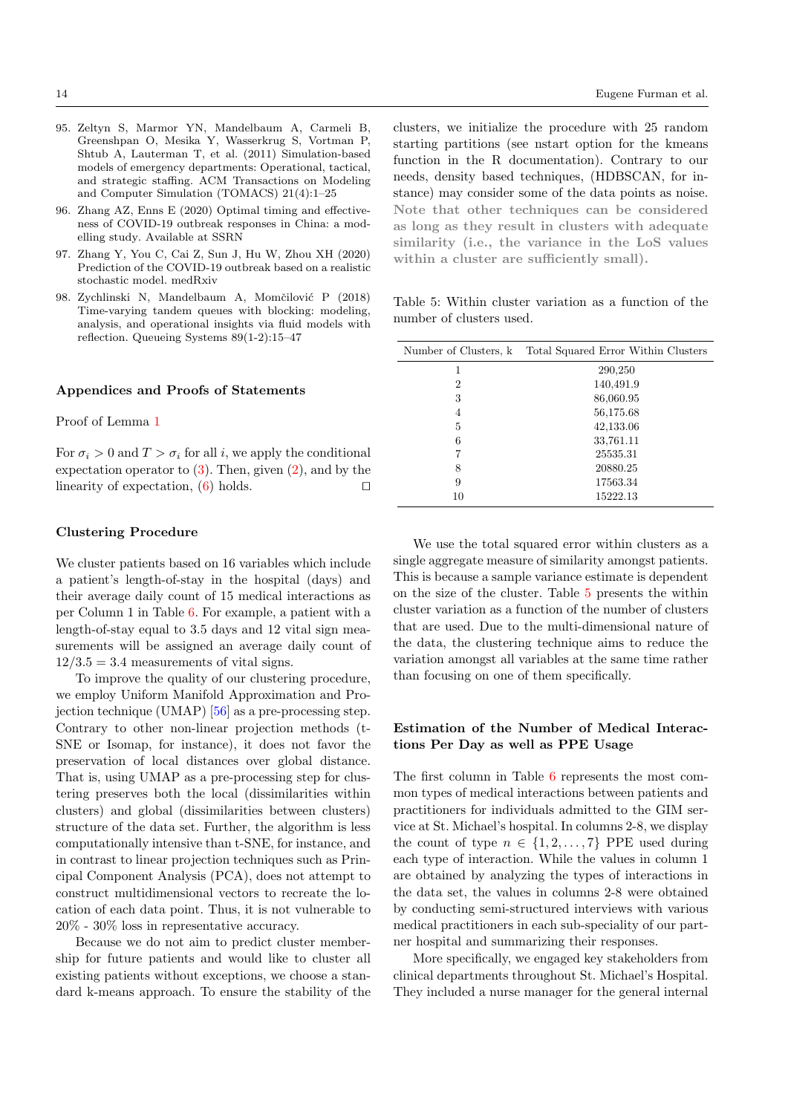- <span id="page-13-0"></span>95. Zeltyn S, Marmor YN, Mandelbaum A, Carmeli B, Greenshpan O, Mesika Y, Wasserkrug S, Vortman P, Shtub A, Lauterman T, et al. (2011) Simulation-based models of emergency departments: Operational, tactical, and strategic staffing. ACM Transactions on Modeling and Computer Simulation (TOMACS) 21(4):1–25
- <span id="page-13-3"></span>96. Zhang AZ, Enns E (2020) Optimal timing and effectiveness of COVID-19 outbreak responses in China: a modelling study. Available at SSRN
- <span id="page-13-2"></span>97. Zhang Y, You C, Cai Z, Sun J, Hu W, Zhou XH (2020) Prediction of the COVID-19 outbreak based on a realistic stochastic model. medRxiv
- <span id="page-13-1"></span>98. Zychlinski N, Mandelbaum A, Momčilović P (2018) Time-varying tandem queues with blocking: modeling, analysis, and operational insights via fluid models with reflection. Queueing Systems 89(1-2):15–47

## Appendices and Proofs of Statements

Proof of Lemma [1](#page-5-1)

For  $\sigma_i > 0$  and  $T > \sigma_i$  for all i, we apply the conditional expectation operator to  $(3)$ . Then, given  $(2)$ , and by the linearity of expectation,  $(6)$  holds.

## Clustering Procedure

We cluster patients based on 16 variables which include a patient's length-of-stay in the hospital (days) and their average daily count of 15 medical interactions as per Column 1 in Table [6.](#page-14-0) For example, a patient with a length-of-stay equal to 3.5 days and 12 vital sign measurements will be assigned an average daily count of  $12/3.5 = 3.4$  measurements of vital signs.

To improve the quality of our clustering procedure, we employ Uniform Manifold Approximation and Projection technique (UMAP) [\[56\]](#page-11-34) as a pre-processing step. Contrary to other non-linear projection methods (t-SNE or Isomap, for instance), it does not favor the preservation of local distances over global distance. That is, using UMAP as a pre-processing step for clustering preserves both the local (dissimilarities within clusters) and global (dissimilarities between clusters) structure of the data set. Further, the algorithm is less computationally intensive than t-SNE, for instance, and in contrast to linear projection techniques such as Principal Component Analysis (PCA), does not attempt to construct multidimensional vectors to recreate the location of each data point. Thus, it is not vulnerable to 20% - 30% loss in representative accuracy.

Because we do not aim to predict cluster membership for future patients and would like to cluster all existing patients without exceptions, we choose a standard k-means approach. To ensure the stability of the clusters, we initialize the procedure with 25 random starting partitions (see nstart option for the kmeans function in the R documentation). Contrary to our needs, density based techniques, (HDBSCAN, for instance) may consider some of the data points as noise. Note that other techniques can be considered as long as they result in clusters with adequate similarity (i.e., the variance in the LoS values within a cluster are sufficiently small).

<span id="page-13-4"></span>Table 5: Within cluster variation as a function of the number of clusters used.

| Number of Clusters, k | Total Squared Error Within Clusters |
|-----------------------|-------------------------------------|
| 1                     | 290,250                             |
| 2                     | 140,491.9                           |
| 3                     | 86,060.95                           |
| 4                     | 56,175.68                           |
| 5                     | 42,133.06                           |
| 6                     | 33,761.11                           |
|                       | 25535.31                            |
| 8                     | 20880.25                            |
| 9                     | 17563.34                            |
| 10                    | 15222.13                            |

We use the total squared error within clusters as a single aggregate measure of similarity amongst patients. This is because a sample variance estimate is dependent on the size of the cluster. Table [5](#page-13-4) presents the within cluster variation as a function of the number of clusters that are used. Due to the multi-dimensional nature of the data, the clustering technique aims to reduce the variation amongst all variables at the same time rather than focusing on one of them specifically.

# Estimation of the Number of Medical Interactions Per Day as well as PPE Usage

The first column in Table [6](#page-14-0) represents the most common types of medical interactions between patients and practitioners for individuals admitted to the GIM service at St. Michael's hospital. In columns 2-8, we display the count of type  $n \in \{1, 2, ..., 7\}$  PPE used during each type of interaction. While the values in column 1 are obtained by analyzing the types of interactions in the data set, the values in columns 2-8 were obtained by conducting semi-structured interviews with various medical practitioners in each sub-speciality of our partner hospital and summarizing their responses.

More specifically, we engaged key stakeholders from clinical departments throughout St. Michael's Hospital. They included a nurse manager for the general internal